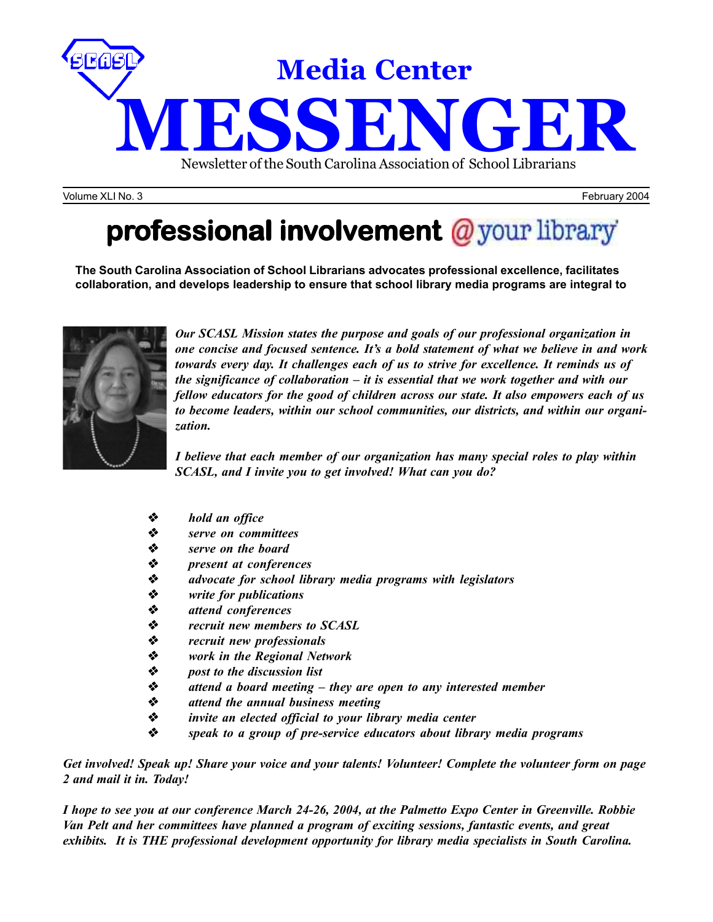

Volume XLI No. 3 February 2004

# **professional involvement** @ your library

**The South Carolina Association of School Librarians advocates professional excellence, facilitates collaboration, and develops leadership to ensure that school library media programs are integral to**



*Our SCASL Mission states the purpose and goals of our professional organization in one concise and focused sentence. It's a bold statement of what we believe in and work towards every day. It challenges each of us to strive for excellence. It reminds us of the significance of collaboration – it is essential that we work together and with our fellow educators for the good of children across our state. It also empowers each of us to become leaders, within our school communities, our districts, and within our organization.*

*I believe that each member of our organization has many special roles to play within SCASL, and I invite you to get involved! What can you do?*

- *hold an office*
- *serve on committees*
- *serve on the board*
- *present at conferences*
- **◆** advocate for school library media programs with legislators<br>◆ write for publications
- *write for publications*
- **↓** attend conferences<br>◆ recruit new member
- *recruit new members to SCASL*
- *recruit new professionals*
- **◆** *work in the Regional Network*<br>◆ *post to the discussion list*<br>◆ *attend a board meeting they*
- *post to the discussion list*
- *attend a board meeting they are open to any interested member*
- *attend the annual business meeting*
- *invite an elected official to your library media center*
- *speak to a group of pre-service educators about library media programs*

*Get involved! Speak up! Share your voice and your talents! Volunteer! Complete the volunteer form on page 2 and mail it in. Today!*

*I hope to see you at our conference March 24-26, 2004, at the Palmetto Expo Center in Greenville. Robbie Van Pelt and her committees have planned a program of exciting sessions, fantastic events, and great exhibits. It is THE professional development opportunity for library media specialists in South Carolina.*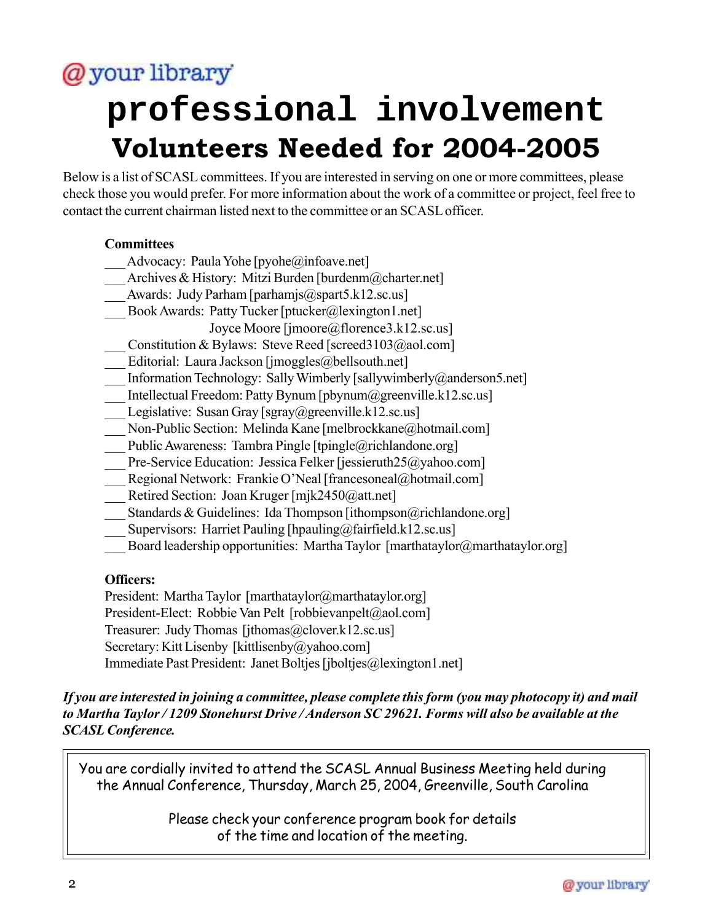# @your library

# **professional involvement Volunteers Needed for 2004-2005**

Below is a list of SCASL committees. If you are interested in serving on one or more committees, please check those you would prefer. For more information about the work of a committee or project, feel free to contact the current chairman listed next to the committee or an SCASL officer.

### **Committees**

- Advocacy: Paula Yohe [pyohe@infoave.net]
- Archives & History: Mitzi Burden [burdenm@charter.net]
- Awards: Judy Parham [parhamjs@spart5.k12.sc.us]
- Book Awards: Patty Tucker [ptucker@lexington1.net]
	- Joyce Moore [jmoore@florence3.k12.sc.us]
- Constitution & Bylaws: Steve Reed [screed3103@aol.com]
- Editorial: Laura Jackson [jmoggles@bellsouth.net]
- Information Technology: Sally Wimberly [sallywimberly  $(a)$  and erson 5.net]
- \_\_\_ Intellectual Freedom: Patty Bynum [pbynum@greenville.k12.sc.us]
- Legislative: Susan Gray [sgray@greenville.k12.sc.us]
- \_\_\_ Non-Public Section: Melinda Kane [melbrockkane@hotmail.com]
- Public Awareness: Tambra Pingle [tpingle@richlandone.org]
- Pre-Service Education: Jessica Felker [jessieruth25@yahoo.com]
- \_\_\_ Regional Network: Frankie O'Neal [francesoneal@hotmail.com]
- Retired Section: Joan Kruger [mjk2450@att.net]
- Standards & Guidelines: Ida Thompson [ithompson  $\omega$ richlandone.org]
- Supervisors: Harriet Pauling [hpauling  $@$ fairfield.k12.sc.us]
- Board leadership opportunities: Martha Taylor [marthataylor@marthataylor.org]

### **Officers:**

President: Martha Taylor [marthataylor@marthataylor.org] President-Elect: Robbie Van Pelt [robbievanpelt@aol.com] Treasurer: Judy Thomas [jthomas@clover.k12.sc.us] Secretary: Kitt Lisenby [kittlisenby@yahoo.com] Immediate Past President: Janet Boltjes [jboltjes@lexington1.net]

*If you are interested in joining a committee, please complete this form (you may photocopy it) and mail to Martha Taylor / 1209 Stonehurst Drive / Anderson SC 29621. Forms will also be available at the SCASL Conference.*

You are cordially invited to attend the SCASL Annual Business Meeting held during the Annual Conference, Thursday, March 25, 2004, Greenville, South Carolina

> Please check your conference program book for details of the time and location of the meeting.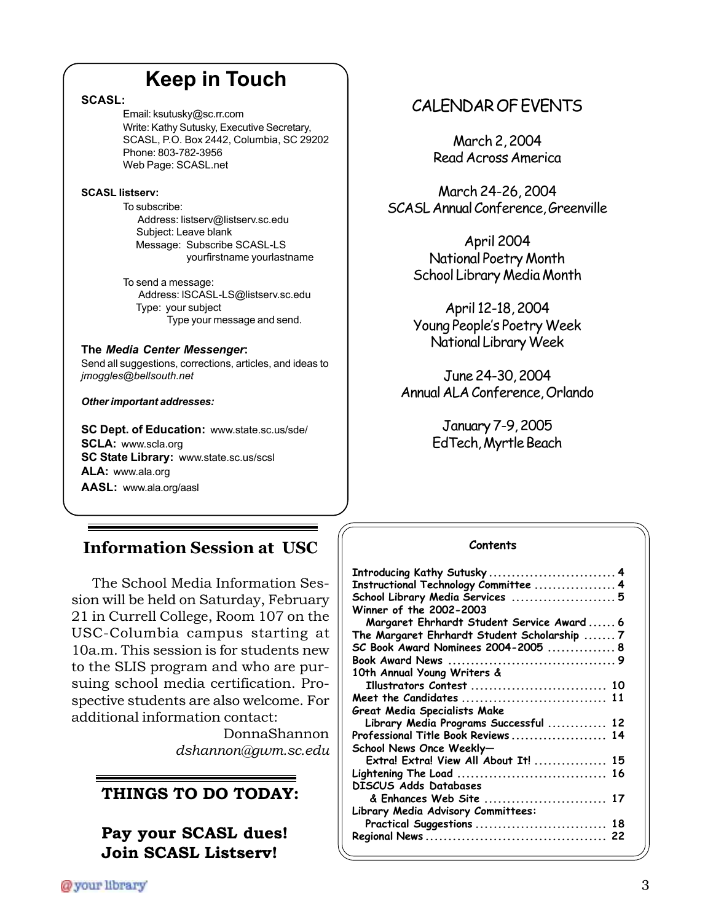## **Keep in Touch**

**SCASL:**

Email: ksutusky@sc.rr.com Write: Kathy Sutusky, Executive Secretary, SCASL, P.O. Box 2442, Columbia, SC 29202 Phone: 803-782-3956 Web Page: SCASL.net

#### **SCASL listserv:**

To subscribe: Address: listserv@listserv.sc.edu Subject: Leave blank Message: Subscribe SCASL-LS yourfirstname yourlastname

To send a message: Address: lSCASL-LS@listserv.sc.edu Type: your subject Type your message and send.

### **The** *Media Center Messenger***:**

Send all suggestions, corrections, articles, and ideas to *jmoggles@bellsouth.net*

#### *Other important addresses:*

**SC Dept. of Education:** www.state.sc.us/sde/ **SCLA:** www.scla.org **SC State Library:** www.state.sc.us/scsl **ALA:** www.ala.org **AASL:** www.ala.org/aasl

## **Information Session at USC**

The School Media Information Session will be held on Saturday, February 21 in Currell College, Room 107 on the USC-Columbia campus starting at 10a.m. This session is for students new to the SLIS program and who are pursuing school media certification. Prospective students are also welcome. For additional information contact:

> DonnaShannon *dshannon@gwm.sc.edu*

## **THINGS TO DO TODAY:**

**Pay your SCASL dues! Join SCASL Listserv!**

## CALENDAR OF EVENTS

March 2, 2004 Read Across America

March 24-26, 2004 SCASL Annual Conference, Greenville

> April 2004 National Poetry Month School Library Media Month

> April 12-18, 2004 Young People's Poetry Week National Library Week

June 24-30, 2004 Annual ALA Conference, Orlando

> January 7-9, 2005 EdTech, Myrtle Beach

### **Contents**

| Introducing Kathy Sutusky  4                 |  |
|----------------------------------------------|--|
| Instructional Technology Committee  4        |  |
| School Library Media Services  5             |  |
| Winner of the 2002-2003                      |  |
| Margaret Ehrhardt Student Service Award  6   |  |
| The Margaret Ehrhardt Student Scholarship  7 |  |
| SC Book Award Nominees 2004-2005  8          |  |
|                                              |  |
| 10th Annual Young Writers &                  |  |
| Illustrators Contest  10                     |  |
| Meet the Candidates  11                      |  |
| Great Media Specialists Make                 |  |
| Library Media Programs Successful  12        |  |
| Professional Title Book Reviews  14          |  |
| School News Once Weekly-                     |  |
| Extra! Extra! View All About It!  15         |  |
| Lightening The Load  16                      |  |
| DISCUS Adds Databases                        |  |
| & Enhances Web Site  17                      |  |
| Library Media Advisory Committees:           |  |
| Practical Suggestions  18                    |  |
|                                              |  |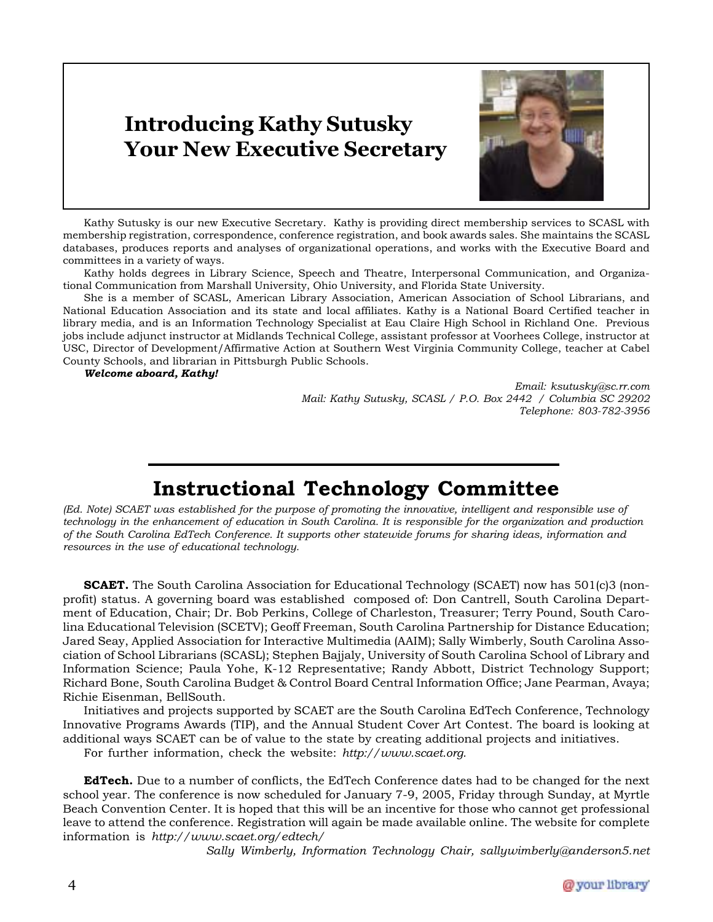## **Introducing Kathy Sutusky Your New Executive Secretary**



Kathy Sutusky is our new Executive Secretary. Kathy is providing direct membership services to SCASL with membership registration, correspondence, conference registration, and book awards sales. She maintains the SCASL databases, produces reports and analyses of organizational operations, and works with the Executive Board and committees in a variety of ways.

Kathy holds degrees in Library Science, Speech and Theatre, Interpersonal Communication, and Organizational Communication from Marshall University, Ohio University, and Florida State University.

She is a member of SCASL, American Library Association, American Association of School Librarians, and National Education Association and its state and local affiliates. Kathy is a National Board Certified teacher in library media, and is an Information Technology Specialist at Eau Claire High School in Richland One. Previous jobs include adjunct instructor at Midlands Technical College, assistant professor at Voorhees College, instructor at USC, Director of Development/Affirmative Action at Southern West Virginia Community College, teacher at Cabel County Schools, and librarian in Pittsburgh Public Schools.

*Welcome aboard, Kathy!*

*Email: ksutusky@sc.rr.com Mail: Kathy Sutusky, SCASL / P.O. Box 2442 / Columbia SC 29202 Telephone: 803-782-3956*

## **Instructional Technology Committee**

*(Ed. Note) SCAET was established for the purpose of promoting the innovative, intelligent and responsible use of technology in the enhancement of education in South Carolina. It is responsible for the organization and production of the South Carolina EdTech Conference. It supports other statewide forums for sharing ideas, information and resources in the use of educational technology.*

**SCAET.** The South Carolina Association for Educational Technology (SCAET) now has 501(c)3 (nonprofit) status. A governing board was established composed of: Don Cantrell, South Carolina Department of Education, Chair; Dr. Bob Perkins, College of Charleston, Treasurer; Terry Pound, South Carolina Educational Television (SCETV); Geoff Freeman, South Carolina Partnership for Distance Education; Jared Seay, Applied Association for Interactive Multimedia (AAIM); Sally Wimberly, South Carolina Association of School Librarians (SCASL); Stephen Bajjaly, University of South Carolina School of Library and Information Science; Paula Yohe, K-12 Representative; Randy Abbott, District Technology Support; Richard Bone, South Carolina Budget & Control Board Central Information Office; Jane Pearman, Avaya; Richie Eisenman, BellSouth.

Initiatives and projects supported by SCAET are the South Carolina EdTech Conference, Technology Innovative Programs Awards (TIP), and the Annual Student Cover Art Contest. The board is looking at additional ways SCAET can be of value to the state by creating additional projects and initiatives.

For further information, check the website: *http://www.scaet.org.*

**EdTech.** Due to a number of conflicts, the EdTech Conference dates had to be changed for the next school year. The conference is now scheduled for January 7-9, 2005, Friday through Sunday, at Myrtle Beach Convention Center. It is hoped that this will be an incentive for those who cannot get professional leave to attend the conference. Registration will again be made available online. The website for complete information is *http://www.scaet.org/edtech/*

*Sally Wimberly, Information Technology Chair, sallywimberly@anderson5.net*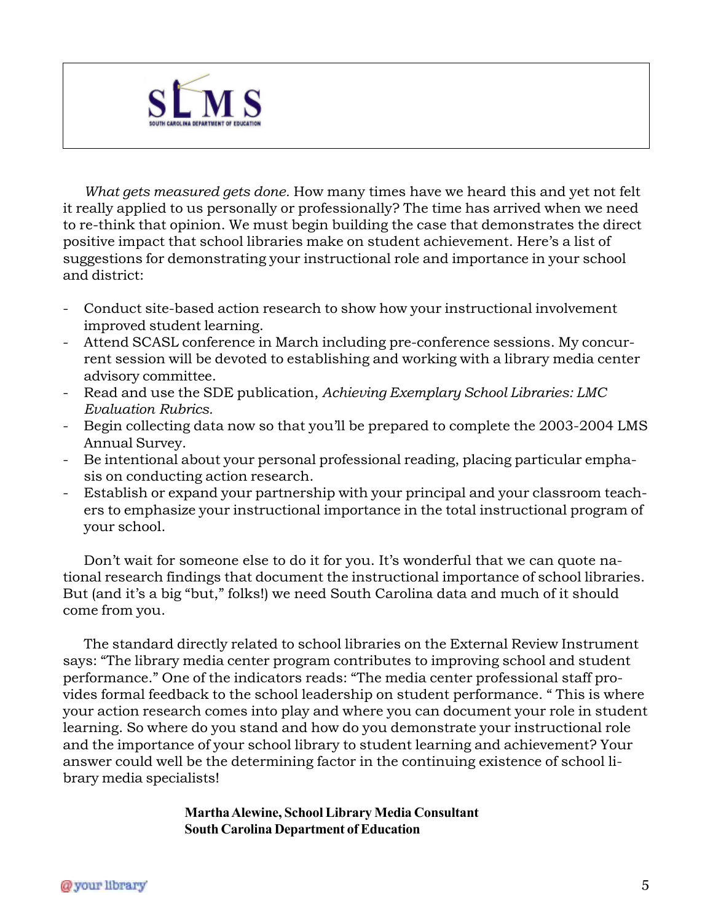

*What gets measured gets done.* How many times have we heard this and yet not felt it really applied to us personally or professionally? The time has arrived when we need to re-think that opinion. We must begin building the case that demonstrates the direct positive impact that school libraries make on student achievement. Here's a list of suggestions for demonstrating your instructional role and importance in your school and district:

- Conduct site-based action research to show how your instructional involvement improved student learning.
- Attend SCASL conference in March including pre-conference sessions. My concurrent session will be devoted to establishing and working with a library media center advisory committee.
- Read and use the SDE publication, *Achieving Exemplary School Libraries: LMC Evaluation Rubrics.*
- Begin collecting data now so that you'll be prepared to complete the 2003-2004 LMS Annual Survey.
- Be intentional about your personal professional reading, placing particular emphasis on conducting action research.
- Establish or expand your partnership with your principal and your classroom teachers to emphasize your instructional importance in the total instructional program of your school.

Don't wait for someone else to do it for you. It's wonderful that we can quote national research findings that document the instructional importance of school libraries. But (and it's a big "but," folks!) we need South Carolina data and much of it should come from you.

The standard directly related to school libraries on the External Review Instrument says: "The library media center program contributes to improving school and student performance." One of the indicators reads: "The media center professional staff provides formal feedback to the school leadership on student performance. " This is where your action research comes into play and where you can document your role in student learning. So where do you stand and how do you demonstrate your instructional role and the importance of your school library to student learning and achievement? Your answer could well be the determining factor in the continuing existence of school library media specialists!

> **Martha Alewine, School Library Media Consultant South Carolina Department of Education**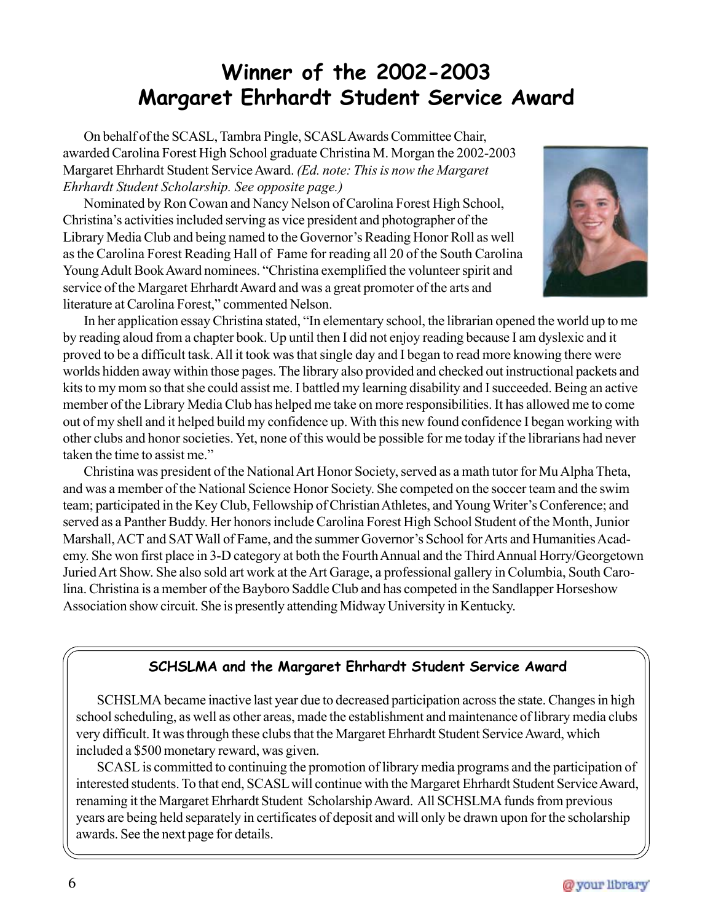## **Winner of the 2002-2003 Margaret Ehrhardt Student Service Award**

On behalf of the SCASL, Tambra Pingle, SCASL Awards Committee Chair, awarded Carolina Forest High School graduate Christina M. Morgan the 2002-2003 Margaret Ehrhardt Student Service Award. *(Ed. note: This is now the Margaret Ehrhardt Student Scholarship. See opposite page.)*

Nominated by Ron Cowan and Nancy Nelson of Carolina Forest High School, Christina's activities included serving as vice president and photographer of the Library Media Club and being named to the Governor's Reading Honor Roll as well as the Carolina Forest Reading Hall of Fame for reading all 20 of the South Carolina Young Adult Book Award nominees. "Christina exemplified the volunteer spirit and service of the Margaret Ehrhardt Award and was a great promoter of the arts and literature at Carolina Forest," commented Nelson.



In her application essay Christina stated, "In elementary school, the librarian opened the world up to me by reading aloud from a chapter book. Up until then I did not enjoy reading because I am dyslexic and it proved to be a difficult task. All it took was that single day and I began to read more knowing there were worlds hidden away within those pages. The library also provided and checked out instructional packets and kits to my mom so that she could assist me. I battled my learning disability and I succeeded. Being an active member of the Library Media Club has helped me take on more responsibilities. It has allowed me to come out of my shell and it helped build my confidence up. With this new found confidence I began working with other clubs and honor societies. Yet, none of this would be possible for me today if the librarians had never taken the time to assist me."

Christina was president of the National Art Honor Society, served as a math tutor for Mu Alpha Theta, and was a member of the National Science Honor Society. She competed on the soccer team and the swim team; participated in the Key Club, Fellowship of Christian Athletes, and Young Writer's Conference; and served as a Panther Buddy. Her honors include Carolina Forest High School Student of the Month, Junior Marshall, ACT and SAT Wall of Fame, and the summer Governor's School for Arts and Humanities Academy. She won first place in 3-D category at both the Fourth Annual and the Third Annual Horry/Georgetown Juried Art Show. She also sold art work at the Art Garage, a professional gallery in Columbia, South Carolina. Christina is a member of the Bayboro Saddle Club and has competed in the Sandlapper Horseshow Association show circuit. She is presently attending Midway University in Kentucky.

## **SCHSLMA and the Margaret Ehrhardt Student Service Award**

SCHSLMA became inactive last year due to decreased participation across the state. Changes in high school scheduling, as well as other areas, made the establishment and maintenance of library media clubs very difficult. It was through these clubs that the Margaret Ehrhardt Student Service Award, which included a \$500 monetary reward, was given.

SCASL is committed to continuing the promotion of library media programs and the participation of interested students. To that end, SCASL will continue with the Margaret Ehrhardt Student Service Award, renaming it the Margaret Ehrhardt Student Scholarship Award. All SCHSLMA funds from previous years are being held separately in certificates of deposit and will only be drawn upon for the scholarship awards. See the next page for details.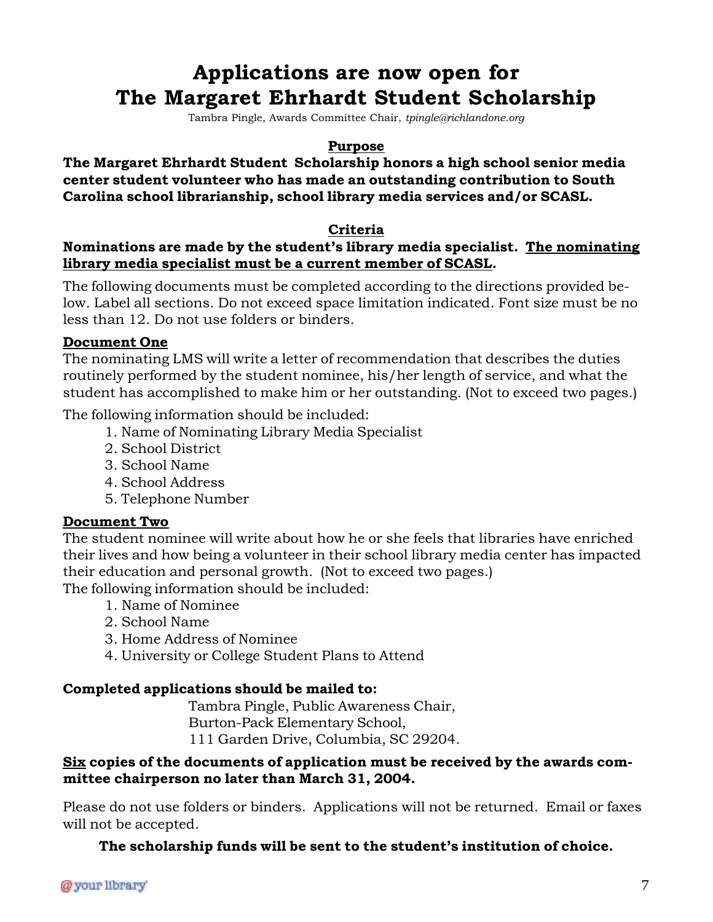## **Applications are now open for The Margaret Ehrhardt Student Scholarship**

Tambra Pingle, Awards Committee Chair, *tpingle@richlandone.org*

### **Purpose**

**The Margaret Ehrhardt Student Scholarship honors a high school senior media center student volunteer who has made an outstanding contribution to South Carolina school librarianship, school library media services and/or SCASL.**

### **Criteria**

### **Nominations are made by the student's library media specialist. The nominating library media specialist must be a current member of SCASL.**

The following documents must be completed according to the directions provided below. Label all sections. Do not exceed space limitation indicated. Font size must be no less than 12. Do not use folders or binders.

### **Document One**

The nominating LMS will write a letter of recommendation that describes the duties routinely performed by the student nominee, his/her length of service, and what the student has accomplished to make him or her outstanding. (Not to exceed two pages.)

The following information should be included:

- 1. Name of Nominating Library Media Specialist
- 2. School District
- 3. School Name
- 4. School Address
- 5. Telephone Number

### **Document Two**

The student nominee will write about how he or she feels that libraries have enriched their lives and how being a volunteer in their school library media center has impacted their education and personal growth. (Not to exceed two pages.)

The following information should be included:

- 1. Name of Nominee
- 2. School Name
- 3. Home Address of Nominee
- 4. University or College Student Plans to Attend

### **Completed applications should be mailed to:**

Tambra Pingle, Public Awareness Chair, Burton-Pack Elementary School, 111 Garden Drive, Columbia, SC 29204.

### **Six copies of the documents of application must be received by the awards committee chairperson no later than March 31, 2004.**

Please do not use folders or binders. Applications will not be returned. Email or faxes will not be accepted.

### **The scholarship funds will be sent to the student's institution of choice.**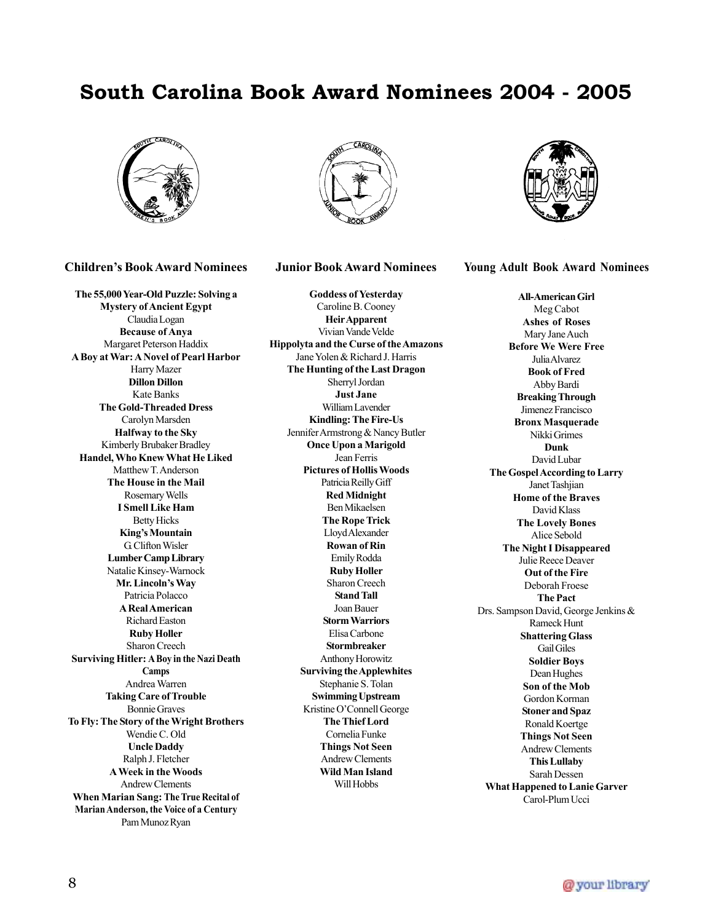## **South Carolina Book Award Nominees 2004 - 2005**



#### **Children's Book Award Nominees**

**The 55,000 Year-Old Puzzle: Solving a Mystery of Ancient Egypt** Claudia Logan **Because of Anya** Margaret Peterson Haddix **A Boy at War: A Novel of Pearl Harbor** Harry Mazer **Dillon Dillon** Kate Banks **The Gold-Threaded Dress** Carolyn Marsden **Halfway to the Sky** Kimberly Brubaker Bradley **Handel, Who Knew What He Liked** Matthew T. Anderson **The House in the Mail** Rosemary Wells **I Smell Like Ham** Betty Hicks **King's Mountain** G. Clifton Wisler **Lumber Camp Library** Natalie Kinsey-Warnock **Mr. Lincoln's Way** Patricia Polacco **A Real American** Richard Easton **Ruby Holler** Sharon Creech **Surviving Hitler: A Boy in the Nazi Death Camps** Andrea Warren **Taking Care of Trouble** Bonnie Graves **To Fly: The Story of the Wright Brothers** Wendie C. Old **Uncle Daddy** Ralph J. Fletcher **A Week in the Woods** Andrew Clements **When Marian Sang: The True Recital of Marian Anderson, the Voice of a Century** Pam Munoz Ryan



#### **Junior Book Award Nominees**

**Goddess of Yesterday** Caroline B. Cooney **Heir Apparent** Vivian Vande Velde **Hippolyta and the Curse of the Amazons** Jane Yolen & Richard J. Harris **The Hunting of the Last Dragon** Sherryl Jordan **Just Jane** William Lavender **Kindling: The Fire-Us** Jennifer Armstrong & Nancy Butler **Once Upon a Marigold** Jean Ferris **Pictures of Hollis Woods** Patricia Reilly Giff **Red Midnight** Ben Mikaelsen **The Rope Trick** Lloyd Alexander **Rowan of Rin** Emily Rodda **Ruby Holler** Sharon Creech **Stand Tall** Joan Bauer **Storm Warriors** Elisa Carbone **Stormbreaker** Anthony Horowitz **Surviving the Applewhites** Stephanie S. Tolan **Swimming Upstream** Kristine O'Connell George **The Thief Lord** Cornelia Funke **Things Not Seen** Andrew Clements **Wild Man Island** Will Hobbs



**Young Adult Book Award Nominees**

**All-American Girl** Meg Cabot **Ashes of Roses** Mary Jane Auch **Before We Were Free** Julia Alvarez **Book of Fred** Abby Bardi **Breaking Through** Jimenez Francisco **Bronx Masquerade** Nikki Grimes **Dunk** David Lubar **The Gospel According to Larry** Janet Tashjian **Home of the Braves** David Klass **The Lovely Bones** Alice Sebold **The Night I Disappeared** Julie Reece Deaver **Out of the Fire** Deborah Froese **The Pact** Drs. Sampson David, George Jenkins & Rameck Hunt **Shattering Glass** Gail Giles **Soldier Boys** Dean Hughes **Son of the Mob** Gordon Korman **Stoner and Spaz** Ronald Koertge **Things Not Seen** Andrew Clements **This Lullaby** Sarah Dessen **What Happened to Lanie Garver** Carol-Plum Ucci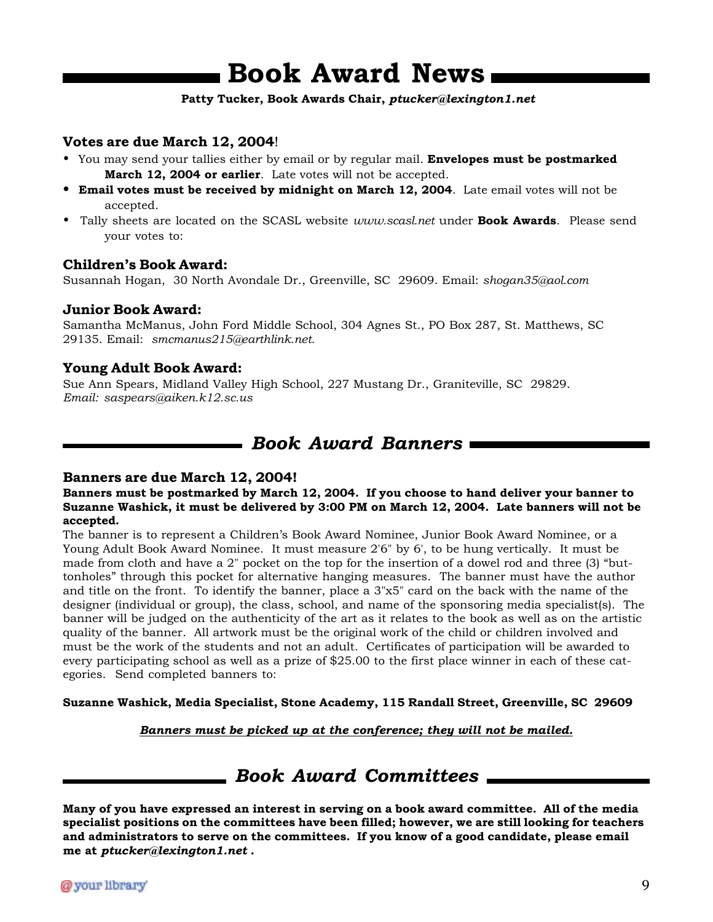## **Book Award News**

#### **Patty Tucker, Book Awards Chair,** *ptucker@lexington1.net*

### **Votes are due March 12, 2004**!

- You may send your tallies either by email or by regular mail. **Envelopes must be postmarked March 12, 2004 or earlier**. Late votes will not be accepted.
- **Email votes must be received by midnight on March 12, 2004**. Late email votes will not be accepted.
- Tally sheets are located on the SCASL website *www.scasl.net* under **Book Awards**. Please send your votes to:

### **Children's Book Award:**

Susannah Hogan, 30 North Avondale Dr., Greenville, SC 29609. Email: *shogan35@aol.com*

### **Junior Book Award:**

Samantha McManus, John Ford Middle School, 304 Agnes St., PO Box 287, St. Matthews, SC 29135. Email: *smcmanus215@earthlink.net.*

### **Young Adult Book Award:**

Sue Ann Spears, Midland Valley High School, 227 Mustang Dr., Graniteville, SC 29829. *Email: saspears@aiken.k12.sc.us*

## *Book Award Banners*

### **Banners are due March 12, 2004!**

**Banners must be postmarked by March 12, 2004. If you choose to hand deliver your banner to Suzanne Washick, it must be delivered by 3:00 PM on March 12, 2004. Late banners will not be accepted.**

The banner is to represent a Children's Book Award Nominee, Junior Book Award Nominee, or a Young Adult Book Award Nominee. It must measure 2'6" by 6', to be hung vertically. It must be made from cloth and have a 2" pocket on the top for the insertion of a dowel rod and three (3) "buttonholes" through this pocket for alternative hanging measures. The banner must have the author and title on the front. To identify the banner, place a 3"x5" card on the back with the name of the designer (individual or group), the class, school, and name of the sponsoring media specialist(s). The banner will be judged on the authenticity of the art as it relates to the book as well as on the artistic quality of the banner. All artwork must be the original work of the child or children involved and must be the work of the students and not an adult. Certificates of participation will be awarded to every participating school as well as a prize of \$25.00 to the first place winner in each of these categories. Send completed banners to:

**Suzanne Washick, Media Specialist, Stone Academy, 115 Randall Street, Greenville, SC 29609**

*Banners must be picked up at the conference; they will not be mailed.*

## *Book Award Committees*

**Many of you have expressed an interest in serving on a book award committee. All of the media specialist positions on the committees have been filled; however, we are still looking for teachers and administrators to serve on the committees. If you know of a good candidate, please email me at** *ptucker@lexington1.net* **.**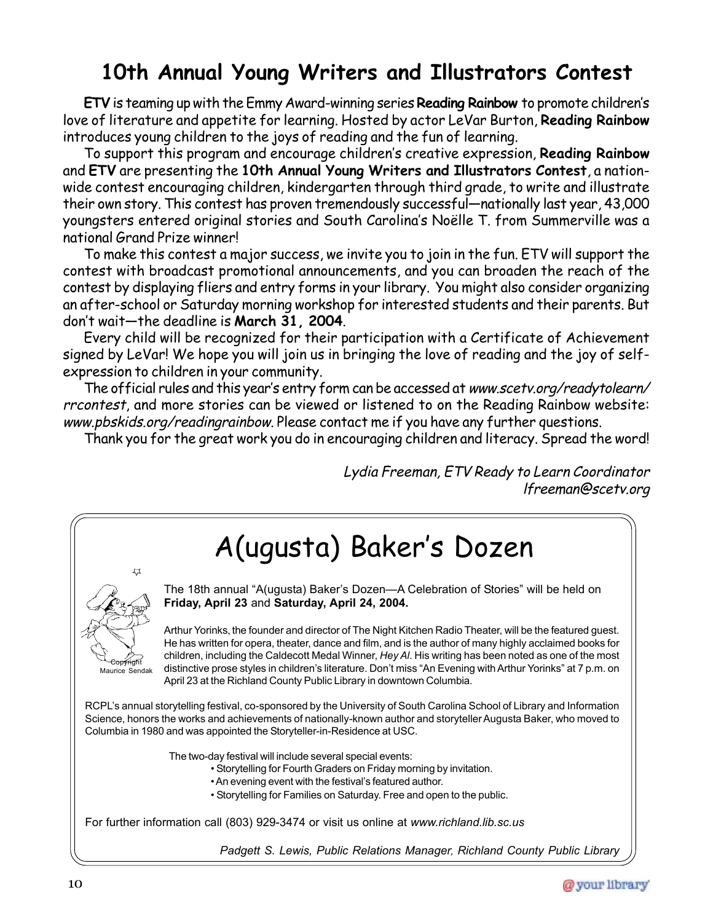## **10th Annual Young Writers and Illustrators Contest**

**ETV** is teaming up with the Emmy Award-winning series **Reading Rainbow** to promote children's love of literature and appetite for learning. Hosted by actor LeVar Burton, **Reading Rainbow** introduces young children to the joys of reading and the fun of learning.

To support this program and encourage children's creative expression, **Reading Rainbow** and **ETV** are presenting the **10th Annual Young Writers and Illustrators Contest**, a nationwide contest encouraging children, kindergarten through third grade, to write and illustrate their own story. This contest has proven tremendously successful—nationally last year, 43,000 youngsters entered original stories and South Carolina's Noëlle T. from Summerville was a national Grand Prize winner!

To make this contest a major success, we invite you to join in the fun. ETV will support the contest with broadcast promotional announcements, and you can broaden the reach of the contest by displaying fliers and entry forms in your library. You might also consider organizing an after-school or Saturday morning workshop for interested students and their parents. But don't wait—the deadline is **March 31, 2004**.

Every child will be recognized for their participation with a Certificate of Achievement signed by LeVar! We hope you will join us in bringing the love of reading and the joy of selfexpression to children in your community.

The official rules and this year's entry form can be accessed at www.scetv.org/readytolearn/ rrcontest, and more stories can be viewed or listened to on the Reading Rainbow website: www.pbskids.org/readingrainbow. Please contact me if you have any further questions.

Thank you for the great work you do in encouraging children and literacy. Spread the word!

Lydia Freeman, ETV Ready to Learn Coordinator lfreeman@scetv.org



*Padgett S. Lewis, Public Relations Manager, Richland County Public Library*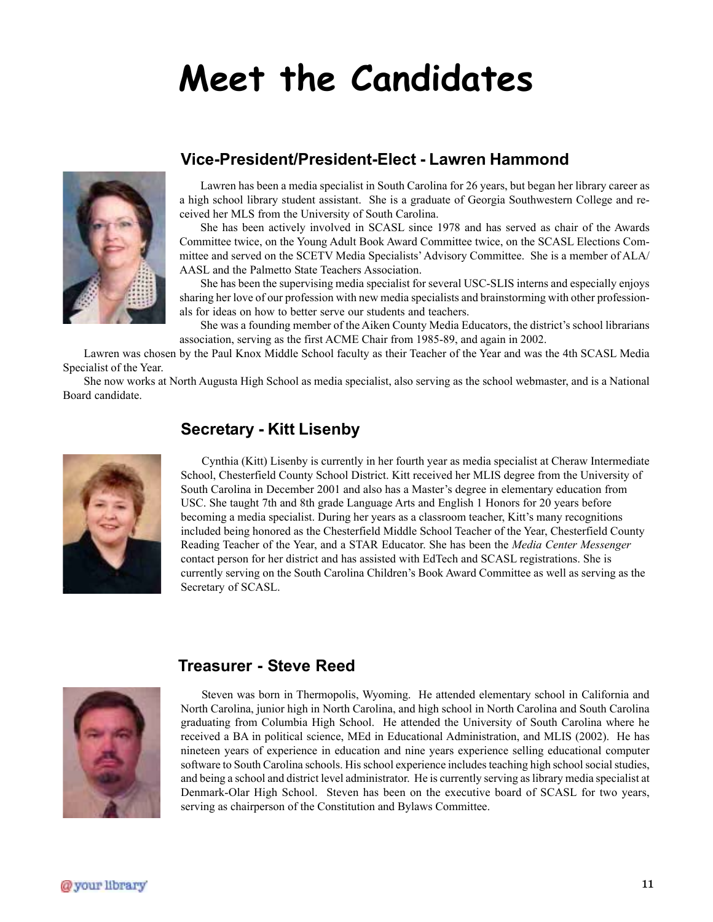# **Meet the Candidates**



### **Vice-President/President-Elect - Lawren Hammond**

Lawren has been a media specialist in South Carolina for 26 years, but began her library career as a high school library student assistant. She is a graduate of Georgia Southwestern College and received her MLS from the University of South Carolina.

She has been actively involved in SCASL since 1978 and has served as chair of the Awards Committee twice, on the Young Adult Book Award Committee twice, on the SCASL Elections Committee and served on the SCETV Media Specialists' Advisory Committee. She is a member of ALA/ AASL and the Palmetto State Teachers Association.

She has been the supervising media specialist for several USC-SLIS interns and especially enjoys sharing her love of our profession with new media specialists and brainstorming with other professionals for ideas on how to better serve our students and teachers.

She was a founding member of the Aiken County Media Educators, the district's school librarians association, serving as the first ACME Chair from 1985-89, and again in 2002.

Lawren was chosen by the Paul Knox Middle School faculty as their Teacher of the Year and was the 4th SCASL Media Specialist of the Year.

She now works at North Augusta High School as media specialist, also serving as the school webmaster, and is a National Board candidate.



### **Secretary - Kitt Lisenby**

Cynthia (Kitt) Lisenby is currently in her fourth year as media specialist at Cheraw Intermediate School, Chesterfield County School District. Kitt received her MLIS degree from the University of South Carolina in December 2001 and also has a Master's degree in elementary education from USC. She taught 7th and 8th grade Language Arts and English 1 Honors for 20 years before becoming a media specialist. During her years as a classroom teacher, Kitt's many recognitions included being honored as the Chesterfield Middle School Teacher of the Year, Chesterfield County Reading Teacher of the Year, and a STAR Educator. She has been the *Media Center Messenger* contact person for her district and has assisted with EdTech and SCASL registrations. She is currently serving on the South Carolina Children's Book Award Committee as well as serving as the Secretary of SCASL.



### **Treasurer - Steve Reed**

Steven was born in Thermopolis, Wyoming. He attended elementary school in California and North Carolina, junior high in North Carolina, and high school in North Carolina and South Carolina graduating from Columbia High School. He attended the University of South Carolina where he received a BA in political science, MEd in Educational Administration, and MLIS (2002). He has nineteen years of experience in education and nine years experience selling educational computer software to South Carolina schools. His school experience includes teaching high school social studies, and being a school and district level administrator. He is currently serving as library media specialist at Denmark-Olar High School. Steven has been on the executive board of SCASL for two years, serving as chairperson of the Constitution and Bylaws Committee.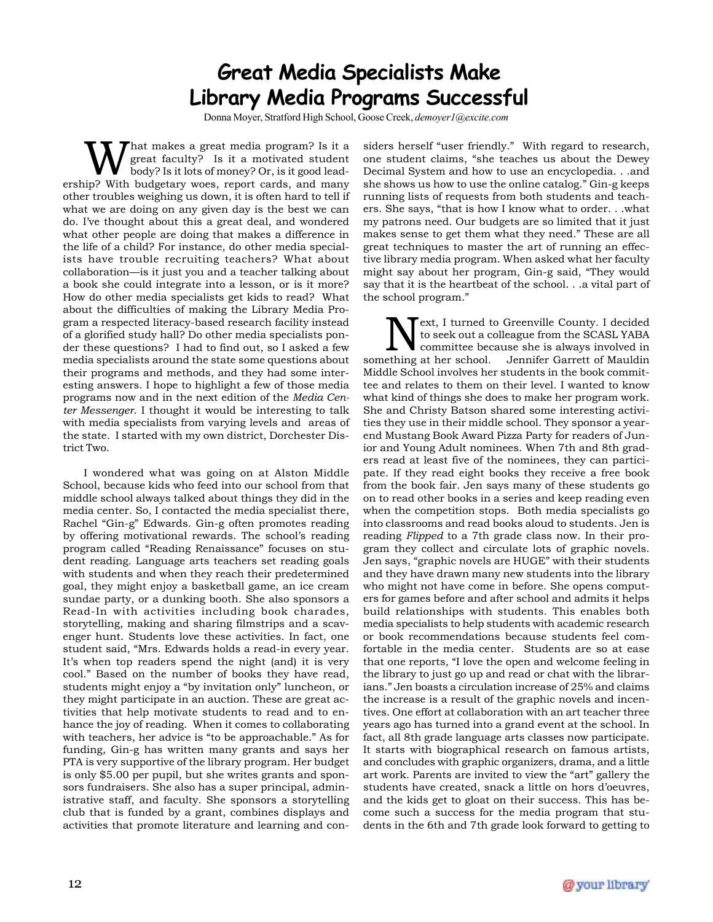## **Great Media Specialists Make Library Media Programs Successful**

Donna Moyer, Stratford High School, Goose Creek, *demoyer1@excite.com*

hat makes a great media program? Is it a great faculty? Is it a motivated student body? Is it lots of money? Or, is it good leadership? With budgetary woes, report cards, and many other troubles weighing us down, it is often hard to tell if what we are doing on any given day is the best we can do. I've thought about this a great deal, and wondered what other people are doing that makes a difference in the life of a child? For instance, do other media specialists have trouble recruiting teachers? What about collaboration—is it just you and a teacher talking about a book she could integrate into a lesson, or is it more? How do other media specialists get kids to read? What about the difficulties of making the Library Media Program a respected literacy-based research facility instead of a glorified study hall? Do other media specialists ponder these questions? I had to find out, so I asked a few media specialists around the state some questions about their programs and methods, and they had some interesting answers. I hope to highlight a few of those media programs now and in the next edition of the *Media Center Messenger*. I thought it would be interesting to talk with media specialists from varying levels and areas of the state. I started with my own district, Dorchester District Two.

I wondered what was going on at Alston Middle School, because kids who feed into our school from that middle school always talked about things they did in the media center. So, I contacted the media specialist there, Rachel "Gin-g" Edwards. Gin-g often promotes reading by offering motivational rewards. The school's reading program called "Reading Renaissance" focuses on student reading. Language arts teachers set reading goals with students and when they reach their predetermined goal, they might enjoy a basketball game, an ice cream sundae party, or a dunking booth. She also sponsors a Read-In with activities including book charades, storytelling, making and sharing filmstrips and a scavenger hunt. Students love these activities. In fact, one student said, "Mrs. Edwards holds a read-in every year. It's when top readers spend the night (and) it is very cool." Based on the number of books they have read, students might enjoy a "by invitation only" luncheon, or they might participate in an auction. These are great activities that help motivate students to read and to enhance the joy of reading. When it comes to collaborating with teachers, her advice is "to be approachable." As for funding, Gin-g has written many grants and says her PTA is very supportive of the library program. Her budget is only \$5.00 per pupil, but she writes grants and sponsors fundraisers. She also has a super principal, administrative staff, and faculty. She sponsors a storytelling club that is funded by a grant, combines displays and activities that promote literature and learning and considers herself "user friendly." With regard to research, one student claims, "she teaches us about the Dewey Decimal System and how to use an encyclopedia. . .and she shows us how to use the online catalog." Gin-g keeps running lists of requests from both students and teachers. She says, "that is how I know what to order. . .what my patrons need. Our budgets are so limited that it just makes sense to get them what they need." These are all great techniques to master the art of running an effective library media program. When asked what her faculty might say about her program, Gin-g said, "They would say that it is the heartbeat of the school. . .a vital part of the school program."

Next, I turned to Greenville County. I decided<br>to seek out a colleague from the SCASL YABA<br>committee because she is always involved in<br>something at her school. Jennifer Garrett of Mauldin to seek out a colleague from the SCASL YABA committee because she is always involved in Jennifer Garrett of Mauldin Middle School involves her students in the book committee and relates to them on their level. I wanted to know what kind of things she does to make her program work. She and Christy Batson shared some interesting activities they use in their middle school. They sponsor a yearend Mustang Book Award Pizza Party for readers of Junior and Young Adult nominees. When 7th and 8th graders read at least five of the nominees, they can participate. If they read eight books they receive a free book from the book fair. Jen says many of these students go on to read other books in a series and keep reading even when the competition stops. Both media specialists go into classrooms and read books aloud to students. Jen is reading *Flipped* to a 7th grade class now. In their program they collect and circulate lots of graphic novels. Jen says, "graphic novels are HUGE" with their students and they have drawn many new students into the library who might not have come in before. She opens computers for games before and after school and admits it helps build relationships with students. This enables both media specialists to help students with academic research or book recommendations because students feel comfortable in the media center. Students are so at ease that one reports, "I love the open and welcome feeling in the library to just go up and read or chat with the librarians." Jen boasts a circulation increase of 25% and claims the increase is a result of the graphic novels and incentives. One effort at collaboration with an art teacher three years ago has turned into a grand event at the school. In fact, all 8th grade language arts classes now participate. It starts with biographical research on famous artists, and concludes with graphic organizers, drama, and a little art work. Parents are invited to view the "art" gallery the students have created, snack a little on hors d'oeuvres, and the kids get to gloat on their success. This has become such a success for the media program that students in the 6th and 7th grade look forward to getting to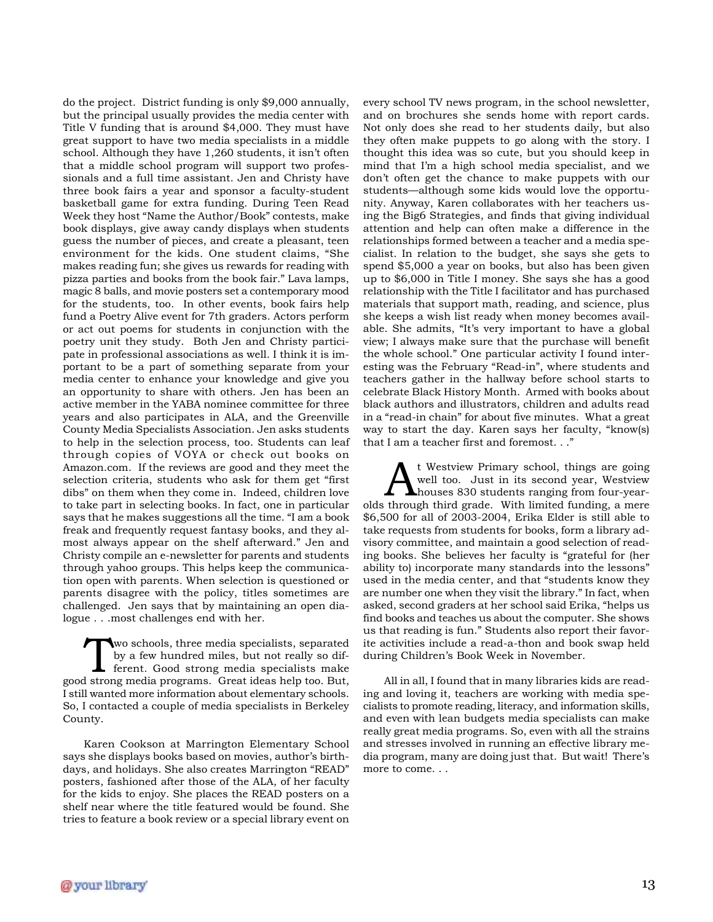do the project. District funding is only \$9,000 annually, but the principal usually provides the media center with Title V funding that is around \$4,000. They must have great support to have two media specialists in a middle school. Although they have 1,260 students, it isn't often that a middle school program will support two professionals and a full time assistant. Jen and Christy have three book fairs a year and sponsor a faculty-student basketball game for extra funding. During Teen Read Week they host "Name the Author/Book" contests, make book displays, give away candy displays when students guess the number of pieces, and create a pleasant, teen environment for the kids. One student claims, "She makes reading fun; she gives us rewards for reading with pizza parties and books from the book fair." Lava lamps, magic 8 balls, and movie posters set a contemporary mood for the students, too. In other events, book fairs help fund a Poetry Alive event for 7th graders. Actors perform or act out poems for students in conjunction with the poetry unit they study. Both Jen and Christy participate in professional associations as well. I think it is important to be a part of something separate from your media center to enhance your knowledge and give you an opportunity to share with others. Jen has been an active member in the YABA nominee committee for three years and also participates in ALA, and the Greenville County Media Specialists Association. Jen asks students to help in the selection process, too. Students can leaf through copies of VOYA or check out books on Amazon.com. If the reviews are good and they meet the selection criteria, students who ask for them get "first dibs" on them when they come in. Indeed, children love to take part in selecting books. In fact, one in particular says that he makes suggestions all the time. "I am a book freak and frequently request fantasy books, and they almost always appear on the shelf afterward." Jen and Christy compile an e-newsletter for parents and students through yahoo groups. This helps keep the communication open with parents. When selection is questioned or parents disagree with the policy, titles sometimes are challenged. Jen says that by maintaining an open dialogue . . .most challenges end with her.

Two schools, three media specialists, separated<br>by a few hundred miles, but not really so dif-<br>ferent. Good strong media specialists make by a few hundred miles, but not really so difgood strong media programs. Great ideas help too. But, I still wanted more information about elementary schools. So, I contacted a couple of media specialists in Berkeley County.

Karen Cookson at Marrington Elementary School says she displays books based on movies, author's birthdays, and holidays. She also creates Marrington "READ" posters, fashioned after those of the ALA, of her faculty for the kids to enjoy. She places the READ posters on a shelf near where the title featured would be found. She tries to feature a book review or a special library event on

every school TV news program, in the school newsletter, and on brochures she sends home with report cards. Not only does she read to her students daily, but also they often make puppets to go along with the story. I thought this idea was so cute, but you should keep in mind that I'm a high school media specialist, and we don't often get the chance to make puppets with our students—although some kids would love the opportunity. Anyway, Karen collaborates with her teachers using the Big6 Strategies, and finds that giving individual attention and help can often make a difference in the relationships formed between a teacher and a media specialist. In relation to the budget, she says she gets to spend \$5,000 a year on books, but also has been given up to \$6,000 in Title I money. She says she has a good relationship with the Title I facilitator and has purchased materials that support math, reading, and science, plus she keeps a wish list ready when money becomes available. She admits, "It's very important to have a global view; I always make sure that the purchase will benefit the whole school." One particular activity I found interesting was the February "Read-in", where students and teachers gather in the hallway before school starts to celebrate Black History Month. Armed with books about black authors and illustrators, children and adults read in a "read-in chain" for about five minutes. What a great way to start the day. Karen says her faculty, "know(s) that I am a teacher first and foremost. . ."

At Westview Primary school, things are going<br>well too. Just in its second year, Westview<br>houses 830 students ranging from four-year-<br>through third grade. With limited funding a marg well too. Just in its second year, Westview houses 830 students ranging from four-yearolds through third grade. With limited funding, a mere \$6,500 for all of 2003-2004, Erika Elder is still able to take requests from students for books, form a library advisory committee, and maintain a good selection of reading books. She believes her faculty is "grateful for (her ability to) incorporate many standards into the lessons" used in the media center, and that "students know they are number one when they visit the library." In fact, when asked, second graders at her school said Erika, "helps us find books and teaches us about the computer. She shows us that reading is fun." Students also report their favorite activities include a read-a-thon and book swap held during Children's Book Week in November.

All in all, I found that in many libraries kids are reading and loving it, teachers are working with media specialists to promote reading, literacy, and information skills, and even with lean budgets media specialists can make really great media programs. So, even with all the strains and stresses involved in running an effective library media program, many are doing just that. But wait! There's more to come. . .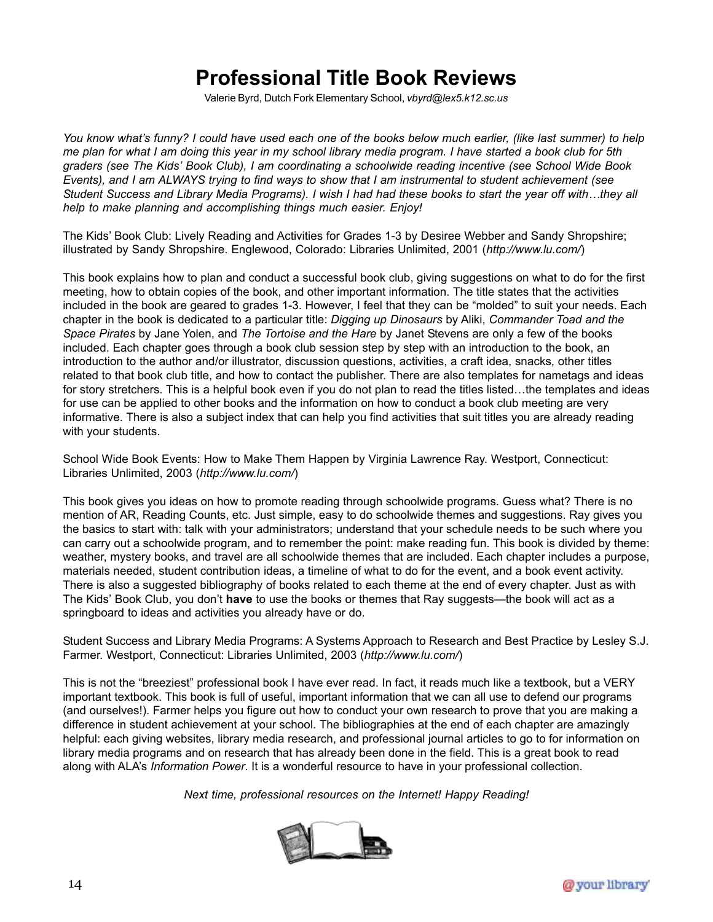## **Professional Title Book Reviews**

Valerie Byrd, Dutch Fork Elementary School, *vbyrd@lex5.k12.sc.us*

*You know what's funny? I could have used each one of the books below much earlier, (like last summer) to help me plan for what I am doing this year in my school library media program. I have started a book club for 5th graders (see The Kids' Book Club), I am coordinating a schoolwide reading incentive (see School Wide Book Events), and I am ALWAYS trying to find ways to show that I am instrumental to student achievement (see Student Success and Library Media Programs). I wish I had had these books to start the year off with…they all help to make planning and accomplishing things much easier. Enjoy!*

The Kids' Book Club: Lively Reading and Activities for Grades 1-3 by Desiree Webber and Sandy Shropshire; illustrated by Sandy Shropshire. Englewood, Colorado: Libraries Unlimited, 2001 (*http://www.lu.com/*)

This book explains how to plan and conduct a successful book club, giving suggestions on what to do for the first meeting, how to obtain copies of the book, and other important information. The title states that the activities included in the book are geared to grades 1-3. However, I feel that they can be "molded" to suit your needs. Each chapter in the book is dedicated to a particular title: *Digging up Dinosaurs* by Aliki, *Commander Toad and the Space Pirates* by Jane Yolen, and *The Tortoise and the Hare* by Janet Stevens are only a few of the books included. Each chapter goes through a book club session step by step with an introduction to the book, an introduction to the author and/or illustrator, discussion questions, activities, a craft idea, snacks, other titles related to that book club title, and how to contact the publisher. There are also templates for nametags and ideas for story stretchers. This is a helpful book even if you do not plan to read the titles listed…the templates and ideas for use can be applied to other books and the information on how to conduct a book club meeting are very informative. There is also a subject index that can help you find activities that suit titles you are already reading with your students.

School Wide Book Events: How to Make Them Happen by Virginia Lawrence Ray. Westport, Connecticut: Libraries Unlimited, 2003 (*http://www.lu.com/*)

This book gives you ideas on how to promote reading through schoolwide programs. Guess what? There is no mention of AR, Reading Counts, etc. Just simple, easy to do schoolwide themes and suggestions. Ray gives you the basics to start with: talk with your administrators; understand that your schedule needs to be such where you can carry out a schoolwide program, and to remember the point: make reading fun. This book is divided by theme: weather, mystery books, and travel are all schoolwide themes that are included. Each chapter includes a purpose, materials needed, student contribution ideas, a timeline of what to do for the event, and a book event activity. There is also a suggested bibliography of books related to each theme at the end of every chapter. Just as with The Kids' Book Club, you don't **have** to use the books or themes that Ray suggests—the book will act as a springboard to ideas and activities you already have or do.

Student Success and Library Media Programs: A Systems Approach to Research and Best Practice by Lesley S.J. Farmer. Westport, Connecticut: Libraries Unlimited, 2003 (*http://www.lu.com/*)

This is not the "breeziest" professional book I have ever read. In fact, it reads much like a textbook, but a VERY important textbook. This book is full of useful, important information that we can all use to defend our programs (and ourselves!). Farmer helps you figure out how to conduct your own research to prove that you are making a difference in student achievement at your school. The bibliographies at the end of each chapter are amazingly helpful: each giving websites, library media research, and professional journal articles to go to for information on library media programs and on research that has already been done in the field. This is a great book to read along with ALA's *Information Power*. It is a wonderful resource to have in your professional collection.

*Next time, professional resources on the Internet! Happy Reading!*

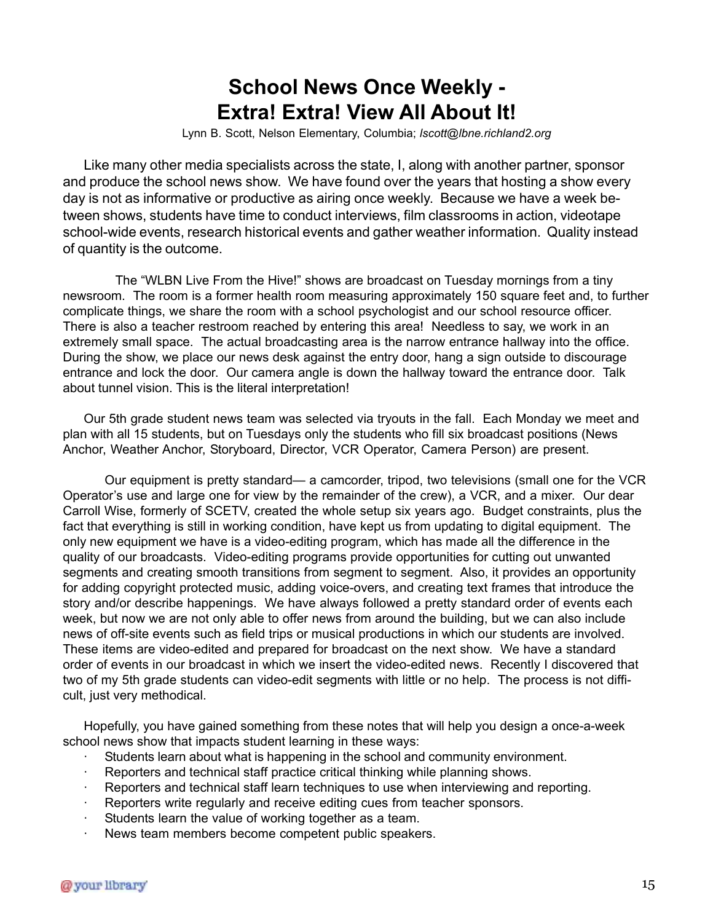## **School News Once Weekly - Extra! Extra! View All About It!**

Lynn B. Scott, Nelson Elementary, Columbia; *lscott@lbne.richland2.org*

Like many other media specialists across the state, I, along with another partner, sponsor and produce the school news show. We have found over the years that hosting a show every day is not as informative or productive as airing once weekly. Because we have a week between shows, students have time to conduct interviews, film classrooms in action, videotape school-wide events, research historical events and gather weather information. Quality instead of quantity is the outcome.

The "WLBN Live From the Hive!" shows are broadcast on Tuesday mornings from a tiny newsroom. The room is a former health room measuring approximately 150 square feet and, to further complicate things, we share the room with a school psychologist and our school resource officer. There is also a teacher restroom reached by entering this area! Needless to say, we work in an extremely small space. The actual broadcasting area is the narrow entrance hallway into the office. During the show, we place our news desk against the entry door, hang a sign outside to discourage entrance and lock the door. Our camera angle is down the hallway toward the entrance door. Talk about tunnel vision. This is the literal interpretation!

Our 5th grade student news team was selected via tryouts in the fall. Each Monday we meet and plan with all 15 students, but on Tuesdays only the students who fill six broadcast positions (News Anchor, Weather Anchor, Storyboard, Director, VCR Operator, Camera Person) are present.

Our equipment is pretty standard— a camcorder, tripod, two televisions (small one for the VCR Operator's use and large one for view by the remainder of the crew), a VCR, and a mixer. Our dear Carroll Wise, formerly of SCETV, created the whole setup six years ago. Budget constraints, plus the fact that everything is still in working condition, have kept us from updating to digital equipment. The only new equipment we have is a video-editing program, which has made all the difference in the quality of our broadcasts. Video-editing programs provide opportunities for cutting out unwanted segments and creating smooth transitions from segment to segment. Also, it provides an opportunity for adding copyright protected music, adding voice-overs, and creating text frames that introduce the story and/or describe happenings. We have always followed a pretty standard order of events each week, but now we are not only able to offer news from around the building, but we can also include news of off-site events such as field trips or musical productions in which our students are involved. These items are video-edited and prepared for broadcast on the next show. We have a standard order of events in our broadcast in which we insert the video-edited news. Recently I discovered that two of my 5th grade students can video-edit segments with little or no help. The process is not difficult, just very methodical.

Hopefully, you have gained something from these notes that will help you design a once-a-week school news show that impacts student learning in these ways:

- · Students learn about what is happening in the school and community environment.
- Reporters and technical staff practice critical thinking while planning shows.
- Reporters and technical staff learn techniques to use when interviewing and reporting.
- Reporters write regularly and receive editing cues from teacher sponsors.
- Students learn the value of working together as a team.
- News team members become competent public speakers.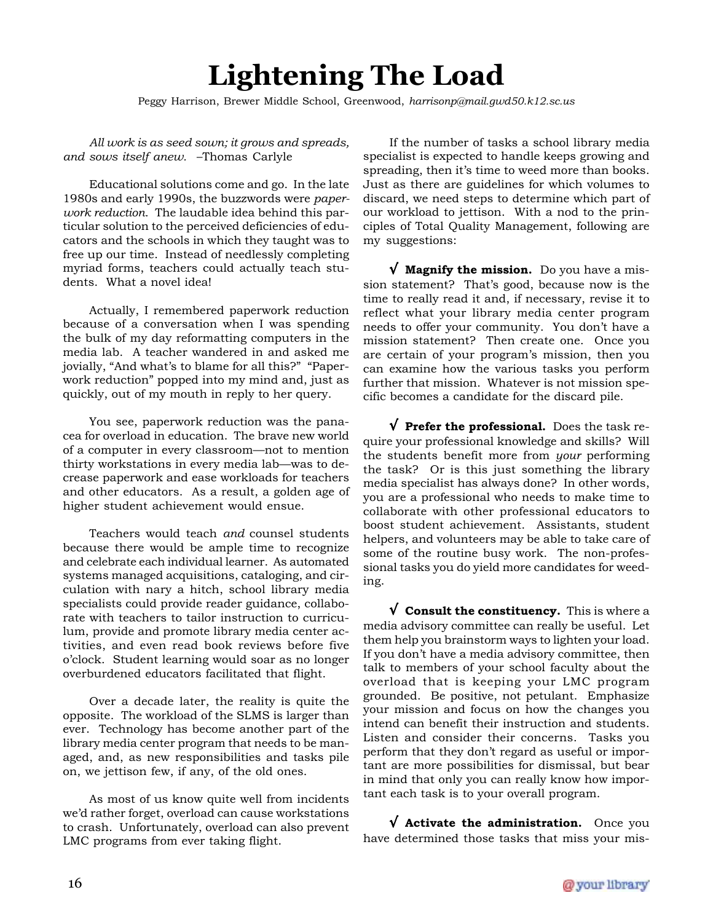# **Lightening The Load**

Peggy Harrison, Brewer Middle School, Greenwood, *harrisonp@mail.gwd50.k12.sc.us*

*All work is as seed sown; it grows and spreads, and sows itself anew.* –Thomas Carlyle

Educational solutions come and go. In the late 1980s and early 1990s, the buzzwords were *paperwork reduction*. The laudable idea behind this particular solution to the perceived deficiencies of educators and the schools in which they taught was to free up our time. Instead of needlessly completing myriad forms, teachers could actually teach students. What a novel idea!

Actually, I remembered paperwork reduction because of a conversation when I was spending the bulk of my day reformatting computers in the media lab. A teacher wandered in and asked me jovially, "And what's to blame for all this?" "Paperwork reduction" popped into my mind and, just as quickly, out of my mouth in reply to her query.

You see, paperwork reduction was the panacea for overload in education. The brave new world of a computer in every classroom—not to mention thirty workstations in every media lab—was to decrease paperwork and ease workloads for teachers and other educators. As a result, a golden age of higher student achievement would ensue.

Teachers would teach *and* counsel students because there would be ample time to recognize and celebrate each individual learner. As automated systems managed acquisitions, cataloging, and circulation with nary a hitch, school library media specialists could provide reader guidance, collaborate with teachers to tailor instruction to curriculum, provide and promote library media center activities, and even read book reviews before five o'clock. Student learning would soar as no longer overburdened educators facilitated that flight.

Over a decade later, the reality is quite the opposite. The workload of the SLMS is larger than ever. Technology has become another part of the library media center program that needs to be managed, and, as new responsibilities and tasks pile on, we jettison few, if any, of the old ones.

As most of us know quite well from incidents we'd rather forget, overload can cause workstations to crash. Unfortunately, overload can also prevent LMC programs from ever taking flight.

If the number of tasks a school library media specialist is expected to handle keeps growing and spreading, then it's time to weed more than books. Just as there are guidelines for which volumes to discard, we need steps to determine which part of our workload to jettison. With a nod to the principles of Total Quality Management, following are my suggestions:

√ **Magnify the mission.** Do you have a mission statement? That's good, because now is the time to really read it and, if necessary, revise it to reflect what your library media center program needs to offer your community. You don't have a mission statement? Then create one. Once you are certain of your program's mission, then you can examine how the various tasks you perform further that mission. Whatever is not mission specific becomes a candidate for the discard pile.

√ **Prefer the professional.** Does the task require your professional knowledge and skills? Will the students benefit more from *your* performing the task? Or is this just something the library media specialist has always done? In other words, you are a professional who needs to make time to collaborate with other professional educators to boost student achievement. Assistants, student helpers, and volunteers may be able to take care of some of the routine busy work. The non-professional tasks you do yield more candidates for weeding.

√ **Consult the constituency.** This is where a media advisory committee can really be useful. Let them help you brainstorm ways to lighten your load. If you don't have a media advisory committee, then talk to members of your school faculty about the overload that is keeping your LMC program grounded. Be positive, not petulant. Emphasize your mission and focus on how the changes you intend can benefit their instruction and students. Listen and consider their concerns. Tasks you perform that they don't regard as useful or important are more possibilities for dismissal, but bear in mind that only you can really know how important each task is to your overall program.

√ **Activate the administration.** Once you have determined those tasks that miss your mis-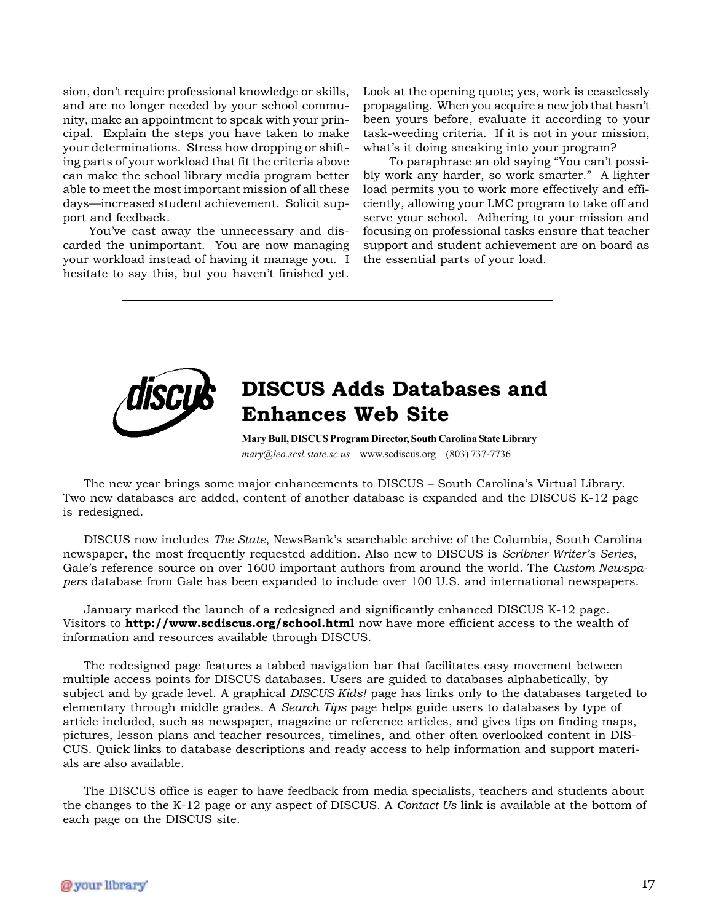sion, don't require professional knowledge or skills, and are no longer needed by your school community, make an appointment to speak with your principal. Explain the steps you have taken to make your determinations. Stress how dropping or shifting parts of your workload that fit the criteria above can make the school library media program better able to meet the most important mission of all these days—increased student achievement. Solicit support and feedback.

You've cast away the unnecessary and discarded the unimportant. You are now managing your workload instead of having it manage you. I hesitate to say this, but you haven't finished yet.

Look at the opening quote; yes, work is ceaselessly propagating. When you acquire a new job that hasn't been yours before, evaluate it according to your task-weeding criteria. If it is not in your mission, what's it doing sneaking into your program?

To paraphrase an old saying "You can't possibly work any harder, so work smarter." A lighter load permits you to work more effectively and efficiently, allowing your LMC program to take off and serve your school. Adhering to your mission and focusing on professional tasks ensure that teacher support and student achievement are on board as the essential parts of your load.



## **DISCUS Adds Databases and Enhances Web Site**

**Mary Bull, DISCUS Program Director, South Carolina State Library** *mary@leo.scsl.state.sc.us* www.scdiscus.org (803) 737-7736

The new year brings some major enhancements to DISCUS – South Carolina's Virtual Library. Two new databases are added, content of another database is expanded and the DISCUS K-12 page is redesigned.

DISCUS now includes *The State*, NewsBank's searchable archive of the Columbia, South Carolina newspaper, the most frequently requested addition. Also new to DISCUS is *Scribner Writer's Series*, Gale's reference source on over 1600 important authors from around the world. The *Custom Newspapers* database from Gale has been expanded to include over 100 U.S. and international newspapers.

January marked the launch of a redesigned and significantly enhanced DISCUS K-12 page. Visitors to **http://www.scdiscus.org/school.html** now have more efficient access to the wealth of information and resources available through DISCUS.

The redesigned page features a tabbed navigation bar that facilitates easy movement between multiple access points for DISCUS databases. Users are guided to databases alphabetically, by subject and by grade level. A graphical *DISCUS Kids!* page has links only to the databases targeted to elementary through middle grades. A *Search Tips* page helps guide users to databases by type of article included, such as newspaper, magazine or reference articles, and gives tips on finding maps, pictures, lesson plans and teacher resources, timelines, and other often overlooked content in DIS-CUS. Quick links to database descriptions and ready access to help information and support materials are also available.

The DISCUS office is eager to have feedback from media specialists, teachers and students about the changes to the K-12 page or any aspect of DISCUS. A *Contact Us* link is available at the bottom of each page on the DISCUS site.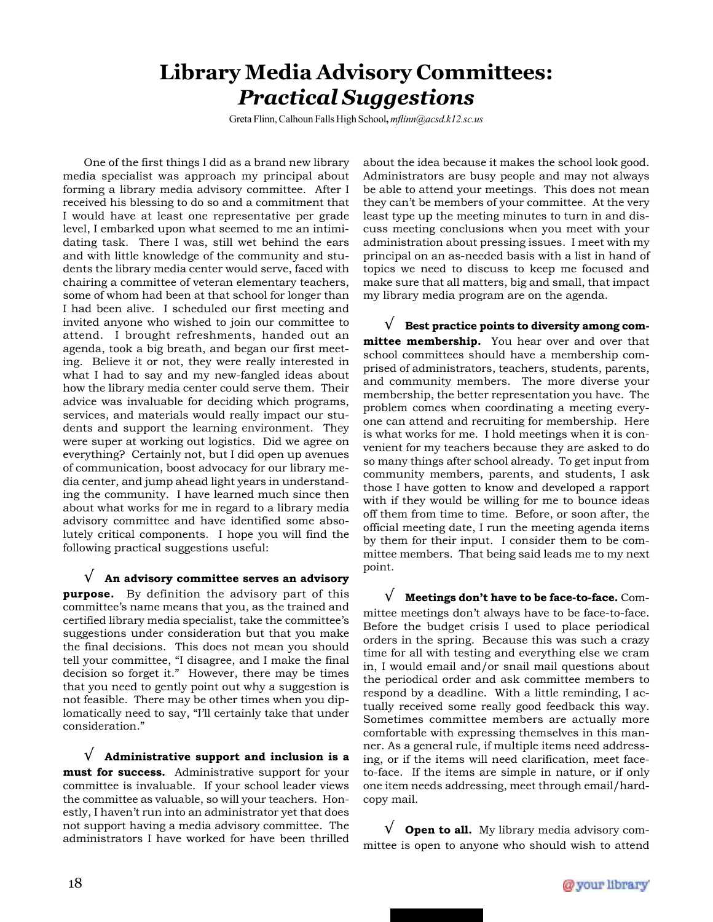## **Library Media Advisory Committees:** *Practical Suggestions*

Greta Flinn, Calhoun Falls High School**,** *mflinn@acsd.k12.sc.us*

One of the first things I did as a brand new library media specialist was approach my principal about forming a library media advisory committee. After I received his blessing to do so and a commitment that I would have at least one representative per grade level, I embarked upon what seemed to me an intimidating task. There I was, still wet behind the ears and with little knowledge of the community and students the library media center would serve, faced with chairing a committee of veteran elementary teachers, some of whom had been at that school for longer than I had been alive. I scheduled our first meeting and invited anyone who wished to join our committee to attend. I brought refreshments, handed out an agenda, took a big breath, and began our first meeting. Believe it or not, they were really interested in what I had to say and my new-fangled ideas about how the library media center could serve them. Their advice was invaluable for deciding which programs, services, and materials would really impact our students and support the learning environment. They were super at working out logistics. Did we agree on everything? Certainly not, but I did open up avenues of communication, boost advocacy for our library media center, and jump ahead light years in understanding the community. I have learned much since then about what works for me in regard to a library media advisory committee and have identified some absolutely critical components. I hope you will find the following practical suggestions useful:

√ **An advisory committee serves an advisory purpose.** By definition the advisory part of this committee's name means that you, as the trained and certified library media specialist, take the committee's suggestions under consideration but that you make the final decisions. This does not mean you should tell your committee, "I disagree, and I make the final decision so forget it." However, there may be times that you need to gently point out why a suggestion is not feasible. There may be other times when you diplomatically need to say, "I'll certainly take that under consideration."

√ **Administrative support and inclusion is a must for success.** Administrative support for your committee is invaluable. If your school leader views the committee as valuable, so will your teachers. Honestly, I haven't run into an administrator yet that does not support having a media advisory committee. The administrators I have worked for have been thrilled

about the idea because it makes the school look good. Administrators are busy people and may not always be able to attend your meetings. This does not mean they can't be members of your committee. At the very least type up the meeting minutes to turn in and discuss meeting conclusions when you meet with your administration about pressing issues. I meet with my principal on an as-needed basis with a list in hand of topics we need to discuss to keep me focused and make sure that all matters, big and small, that impact my library media program are on the agenda.

√ **Best practice points to diversity among committee membership.** You hear over and over that school committees should have a membership comprised of administrators, teachers, students, parents, and community members. The more diverse your membership, the better representation you have. The problem comes when coordinating a meeting everyone can attend and recruiting for membership. Here is what works for me. I hold meetings when it is convenient for my teachers because they are asked to do so many things after school already. To get input from community members, parents, and students, I ask those I have gotten to know and developed a rapport with if they would be willing for me to bounce ideas off them from time to time. Before, or soon after, the official meeting date, I run the meeting agenda items by them for their input. I consider them to be committee members. That being said leads me to my next point.

√ **Meetings don't have to be face-to-face.** Committee meetings don't always have to be face-to-face. Before the budget crisis I used to place periodical orders in the spring. Because this was such a crazy time for all with testing and everything else we cram in, I would email and/or snail mail questions about the periodical order and ask committee members to respond by a deadline. With a little reminding, I actually received some really good feedback this way. Sometimes committee members are actually more comfortable with expressing themselves in this manner. As a general rule, if multiple items need addressing, or if the items will need clarification, meet faceto-face. If the items are simple in nature, or if only one item needs addressing, meet through email/hardcopy mail.

√ **Open to all.** My library media advisory committee is open to anyone who should wish to attend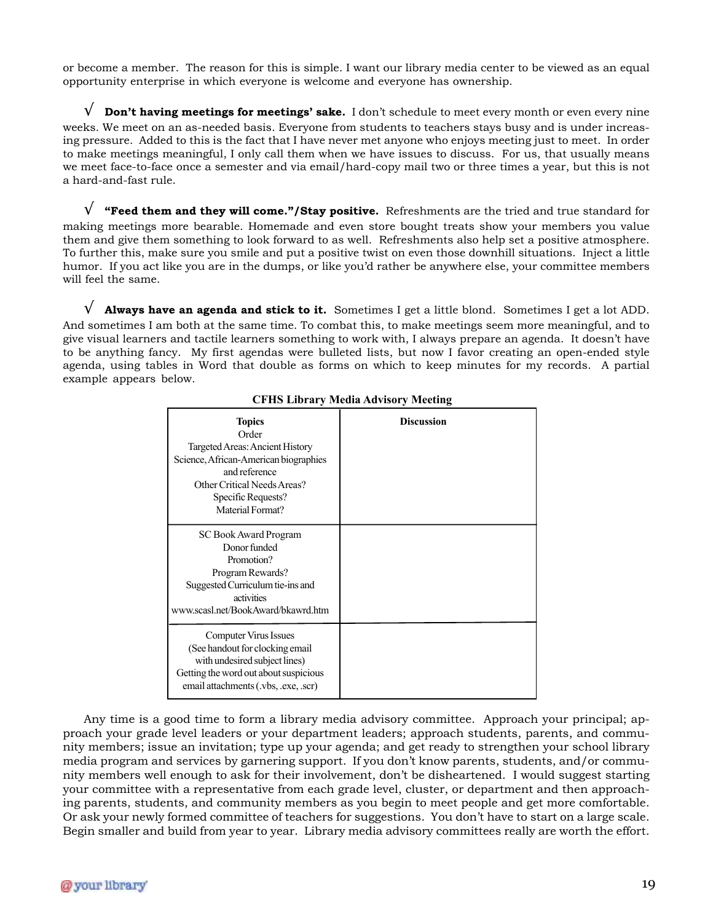or become a member. The reason for this is simple. I want our library media center to be viewed as an equal opportunity enterprise in which everyone is welcome and everyone has ownership.

**Don't having meetings for meetings' sake.** I don't schedule to meet every month or even every nine weeks. We meet on an as-needed basis. Everyone from students to teachers stays busy and is under increasing pressure. Added to this is the fact that I have never met anyone who enjoys meeting just to meet. In order to make meetings meaningful, I only call them when we have issues to discuss. For us, that usually means we meet face-to-face once a semester and via email/hard-copy mail two or three times a year, but this is not a hard-and-fast rule.

√ **"Feed them and they will come."/Stay positive.** Refreshments are the tried and true standard for making meetings more bearable. Homemade and even store bought treats show your members you value them and give them something to look forward to as well. Refreshments also help set a positive atmosphere. To further this, make sure you smile and put a positive twist on even those downhill situations. Inject a little humor. If you act like you are in the dumps, or like you'd rather be anywhere else, your committee members will feel the same.

√ **Always have an agenda and stick to it.** Sometimes I get a little blond. Sometimes I get a lot ADD. And sometimes I am both at the same time. To combat this, to make meetings seem more meaningful, and to give visual learners and tactile learners something to work with, I always prepare an agenda. It doesn't have to be anything fancy. My first agendas were bulleted lists, but now I favor creating an open-ended style agenda, using tables in Word that double as forms on which to keep minutes for my records. A partial example appears below.

| <b>Topics</b><br>Order<br>Targeted Areas: Ancient History<br>Science, African-American biographies<br>and reference<br>Other Critical Needs Areas?<br>Specific Requests?<br>Material Format? | <b>Discussion</b> |
|----------------------------------------------------------------------------------------------------------------------------------------------------------------------------------------------|-------------------|
| SC Book Award Program<br>Donor funded<br>Promotion?<br>Program Rewards?<br>Suggested Curriculum tie-ins and<br>activities<br>www.scasl.net/BookAward/bkawrd.htm                              |                   |
| Computer Virus Issues<br>(See handout for clocking email)<br>with undesired subject lines)<br>Getting the word out about suspicious<br>email attachments (.vbs, .exe, .scr)                  |                   |

#### **CFHS Library Media Advisory Meeting**

Any time is a good time to form a library media advisory committee. Approach your principal; approach your grade level leaders or your department leaders; approach students, parents, and community members; issue an invitation; type up your agenda; and get ready to strengthen your school library media program and services by garnering support. If you don't know parents, students, and/or community members well enough to ask for their involvement, don't be disheartened. I would suggest starting your committee with a representative from each grade level, cluster, or department and then approaching parents, students, and community members as you begin to meet people and get more comfortable. Or ask your newly formed committee of teachers for suggestions. You don't have to start on a large scale. Begin smaller and build from year to year. Library media advisory committees really are worth the effort.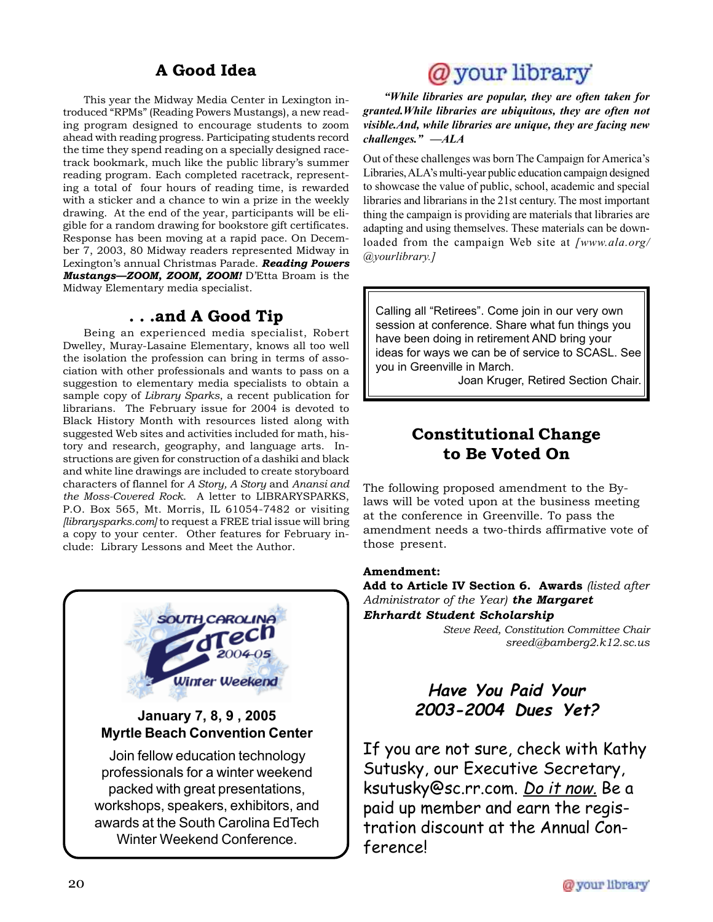## **A Good Idea**

This year the Midway Media Center in Lexington introduced "RPMs" (Reading Powers Mustangs), a new reading program designed to encourage students to zoom ahead with reading progress. Participating students record the time they spend reading on a specially designed racetrack bookmark, much like the public library's summer reading program. Each completed racetrack, representing a total of four hours of reading time, is rewarded with a sticker and a chance to win a prize in the weekly drawing. At the end of the year, participants will be eligible for a random drawing for bookstore gift certificates. Response has been moving at a rapid pace. On December 7, 2003, 80 Midway readers represented Midway in Lexington's annual Christmas Parade. *Reading Powers Mustangs—ZOOM, ZOOM, ZOOM!* D'Etta Broam is the Midway Elementary media specialist.

### **. . .and A Good Tip**

Being an experienced media specialist, Robert Dwelley, Muray-Lasaine Elementary, knows all too well the isolation the profession can bring in terms of association with other professionals and wants to pass on a suggestion to elementary media specialists to obtain a sample copy of *Library Sparks*, a recent publication for librarians. The February issue for 2004 is devoted to Black History Month with resources listed along with suggested Web sites and activities included for math, history and research, geography, and language arts. Instructions are given for construction of a dashiki and black and white line drawings are included to create storyboard characters of flannel for *A Story, A Story* and *Anansi and the Moss-Covered Rock*. A letter to LIBRARYSPARKS, P.O. Box 565, Mt. Morris, IL 61054-7482 or visiting *[librarysparks.com]* to request a FREE trial issue will bring a copy to your center. Other features for February include: Library Lessons and Meet the Author.



packed with great presentations, workshops, speakers, exhibitors, and awards at the South Carolina EdTech Winter Weekend Conference.

## @your library

*"While libraries are popular, they are often taken for granted.While libraries are ubiquitous, they are often not visible.And, while libraries are unique, they are facing new challenges." —ALA*

Out of these challenges was born The Campaign for America's Libraries, ALA's multi-year public education campaign designed to showcase the value of public, school, academic and special libraries and librarians in the 21st century. The most important thing the campaign is providing are materials that libraries are adapting and using themselves. These materials can be downloaded from the campaign Web site at *[www.ala.org/ @yourlibrary.]*

Calling all "Retirees". Come join in our very own session at conference. Share what fun things you have been doing in retirement AND bring your ideas for ways we can be of service to SCASL. See you in Greenville in March.

Joan Kruger, Retired Section Chair.

## **Constitutional Change to Be Voted On**

The following proposed amendment to the Bylaws will be voted upon at the business meeting at the conference in Greenville. To pass the amendment needs a two-thirds affirmative vote of those present.

#### **Amendment:**

**Add to Article IV Section 6. Awards** *(listed after Administrator of the Year) the Margaret Ehrhardt Student Scholarship*

*Steve Reed, Constitution Committee Chair sreed@bamberg2.k12.sc.us*

## **Have You Paid Your 2003-2004 Dues Yet?**

If you are not sure, check with Kathy Sutusky, our Executive Secretary, ksutusky@sc.rr.com. Do it now. Be a paid up member and earn the registration discount at the Annual Conference!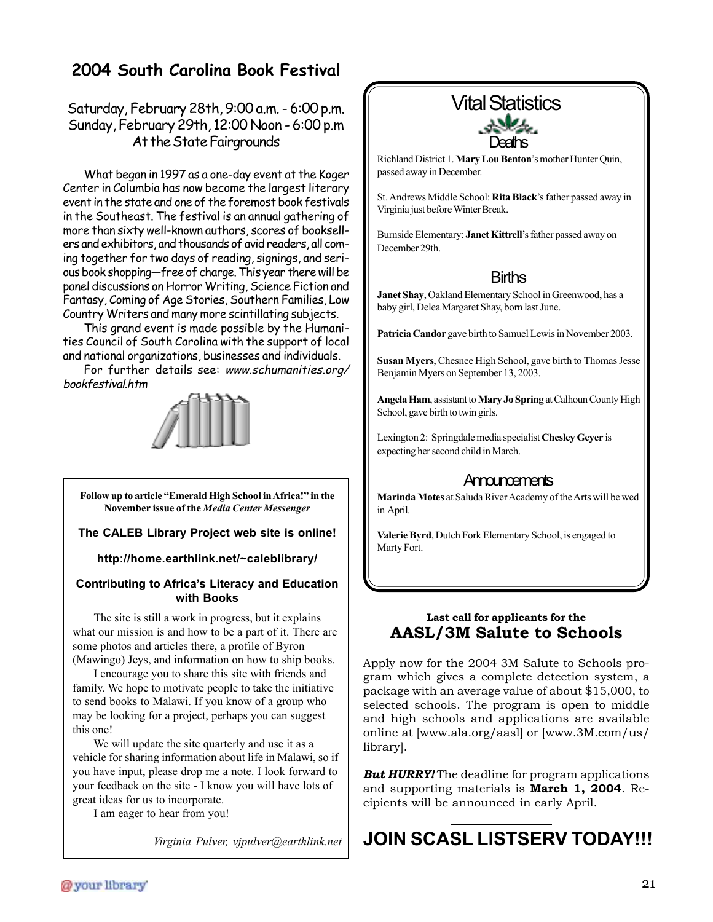## **2004 South Carolina Book Festival**

### Saturday, February 28th, 9:00 a.m. - 6:00 p.m. Sunday, February 29th, 12:00 Noon - 6:00 p.m At the State Fairgrounds

What began in 1997 as a one-day event at the Koger Center in Columbia has now become the largest literary event in the state and one of the foremost book festivals in the Southeast. The festival is an annual gathering of more than sixty well-known authors, scores of booksellers and exhibitors, and thousands of avid readers, all coming together for two days of reading, signings, and serious book shopping—free of charge. This year there will be panel discussions on Horror Writing, Science Fiction and Fantasy, Coming of Age Stories, Southern Families, Low Country Writers and many more scintillating subjects.

This grand event is made possible by the Humanities Council of South Carolina with the support of local and national organizations, businesses and individuals.

For further details see: www.schumanities.org/ bookfestival.htm



**Follow up to article "Emerald High School in Africa!" in the November issue of the** *Media Center Messenger*

### **The CALEB Library Project web site is online!**

#### **http://home.earthlink.net/~caleblibrary/**

#### **Contributing to Africa's Literacy and Education with Books**

The site is still a work in progress, but it explains what our mission is and how to be a part of it. There are some photos and articles there, a profile of Byron (Mawingo) Jeys, and information on how to ship books.

I encourage you to share this site with friends and family. We hope to motivate people to take the initiative to send books to Malawi. If you know of a group who may be looking for a project, perhaps you can suggest this one!

We will update the site quarterly and use it as a vehicle for sharing information about life in Malawi, so if you have input, please drop me a note. I look forward to your feedback on the site - I know you will have lots of great ideas for us to incorporate.

I am eager to hear from you!

*Virginia Pulver, vjpulver@earthlink.net*

# **Deaths** Vital Statistics

Richland District 1. **Mary Lou Benton**'s mother Hunter Quin, passed away in December.

St. Andrews Middle School: **Rita Black**'s father passed away in Virginia just before Winter Break.

Burnside Elementary: **Janet Kittrell**'s father passed away on December 29th.

### **Births**

**Janet Shay**, Oakland Elementary School in Greenwood, has a baby girl, Delea Margaret Shay, born last June.

**Patricia Candor** gave birth to Samuel Lewis in November 2003.

**Susan Myers**, Chesnee High School, gave birth to Thomas Jesse Benjamin Myers on September 13, 2003.

**Angela Ham**, assistant to **Mary Jo Spring** at Calhoun County High School, gave birth to twin girls.

Lexington 2: Springdale media specialist **Chesley Geyer** is expecting her second child in March.

### **Announcements**

**Marinda Motes** at Saluda River Academy of the Arts will be wed in April.

**Valerie Byrd**, Dutch Fork Elementary School, is engaged to Marty Fort.

### **Last call for applicants for the AASL/3M Salute to Schools**

Apply now for the 2004 3M Salute to Schools program which gives a complete detection system, a package with an average value of about \$15,000, to selected schools. The program is open to middle and high schools and applications are available online at [www.ala.org/aasl] or [www.3M.com/us/ library].

*But HURRY!* The deadline for program applications and supporting materials is **March 1, 2004**. Recipients will be announced in early April.

## **JOIN SCASL LISTSERV TODAY!!!**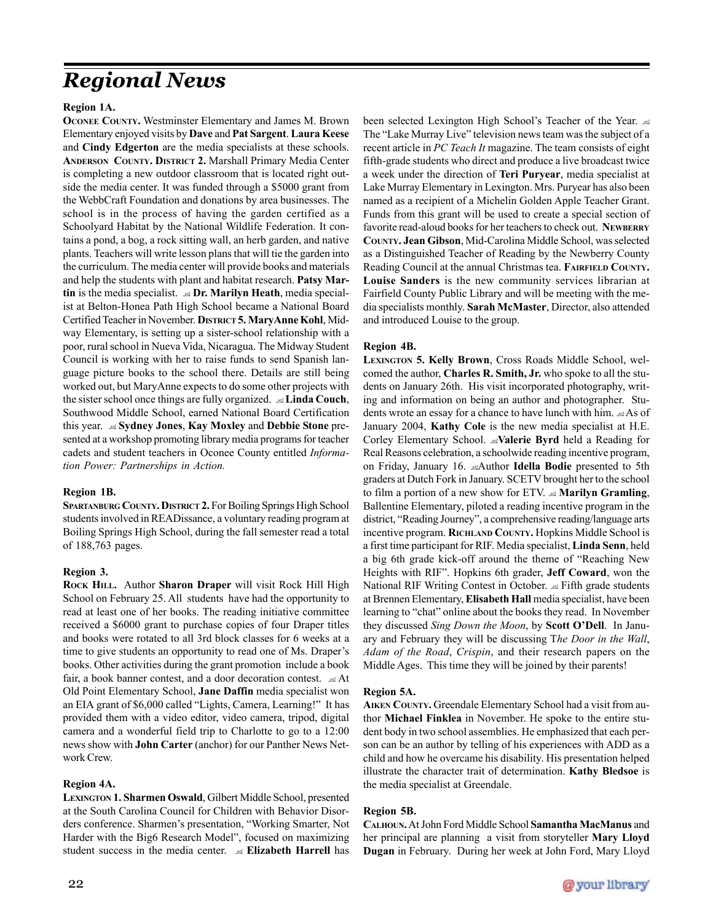## *Regional News*

#### **Region 1A.**

**OCONEE COUNTY.** Westminster Elementary and James M. Brown Elementary enjoyed visits by **Dave** and **Pat Sargent**. **Laura Keese** and **Cindy Edgerton** are the media specialists at these schools. **ANDERSON COUNTY. DISTRICT 2.** Marshall Primary Media Center is completing a new outdoor classroom that is located right outside the media center. It was funded through a \$5000 grant from the WebbCraft Foundation and donations by area businesses. The school is in the process of having the garden certified as a Schoolyard Habitat by the National Wildlife Federation. It contains a pond, a bog, a rock sitting wall, an herb garden, and native plants. Teachers will write lesson plans that will tie the garden into the curriculum. The media center will provide books and materials and help the students with plant and habitat research. **Patsy Martin** is the media specialist. **Dr. Marilyn Heath**, media specialist at Belton-Honea Path High School became a National Board Certified Teacher in November. **DISTRICT 5. MaryAnne Kohl**, Midway Elementary, is setting up a sister-school relationship with a poor, rural school in Nueva Vida, Nicaragua. The Midway Student Council is working with her to raise funds to send Spanish language picture books to the school there. Details are still being worked out, but MaryAnne expects to do some other projects with the sister school once things are fully organized. **Linda Couch**, Southwood Middle School, earned National Board Certification this year. **Sydney Jones**, **Kay Moxley** and **Debbie Stone** presented at a workshop promoting library media programs for teacher cadets and student teachers in Oconee County entitled *Information Power: Partnerships in Action.*

#### **Region 1B.**

**SPARTANBURG COUNTY. DISTRICT 2. For Boiling Springs High School** students involved in READissance, a voluntary reading program at Boiling Springs High School, during the fall semester read a total of 188,763 pages.

#### **Region 3.**

**ROCK HILL.** Author **Sharon Draper** will visit Rock Hill High School on February 25. All students have had the opportunity to read at least one of her books. The reading initiative committee received a \$6000 grant to purchase copies of four Draper titles and books were rotated to all 3rd block classes for 6 weeks at a time to give students an opportunity to read one of Ms. Draper's books. Other activities during the grant promotion include a book fair, a book banner contest, and a door decoration contest.  $\trianglelefteq$  At Old Point Elementary School, **Jane Daffin** media specialist won an EIA grant of \$6,000 called "Lights, Camera, Learning!" It has provided them with a video editor, video camera, tripod, digital camera and a wonderful field trip to Charlotte to go to a 12:00 news show with **John Carter** (anchor) for our Panther News Network Crew.

### **Region 4A.**

**LEXINGTON 1. Sharmen Oswald**, Gilbert Middle School, presented at the South Carolina Council for Children with Behavior Disorders conference. Sharmen's presentation, "Working Smarter, Not Harder with the Big6 Research Model", focused on maximizing student success in the media center. **Elizabeth Harrell** has been selected Lexington High School's Teacher of the Year. The "Lake Murray Live" television news team was the subject of a recent article in *PC Teach It* magazine. The team consists of eight fifth-grade students who direct and produce a live broadcast twice a week under the direction of **Teri Puryear**, media specialist at Lake Murray Elementary in Lexington. Mrs. Puryear has also been named as a recipient of a Michelin Golden Apple Teacher Grant. Funds from this grant will be used to create a special section of favorite read-aloud books for her teachers to check out. **NEWBERRY COUNTY. Jean Gibson**, Mid-Carolina Middle School, was selected as a Distinguished Teacher of Reading by the Newberry County Reading Council at the annual Christmas tea. **FAIRFIELD COUNTY. Louise Sanders** is the new community services librarian at Fairfield County Public Library and will be meeting with the media specialists monthly. **Sarah McMaster**, Director, also attended and introduced Louise to the group.

### **Region 4B.**

**LEXINGTON 5. Kelly Brown**, Cross Roads Middle School, welcomed the author, **Charles R. Smith, Jr.** who spoke to all the students on January 26th. His visit incorporated photography, writing and information on being an author and photographer. Students wrote an essay for a chance to have lunch with him.  $\triangleleft$  As of January 2004, **Kathy Cole** is the new media specialist at H.E. Corley Elementary School. **Nalerie Byrd** held a Reading for Real Reasons celebration, a schoolwide reading incentive program, on Friday, January 16. Author **Idella Bodie** presented to 5th graders at Dutch Fork in January. SCETV brought her to the school to film a portion of a new show for ETV. **Marilyn Gramling**, Ballentine Elementary, piloted a reading incentive program in the district, "Reading Journey", a comprehensive reading/language arts incentive program. **RICHLAND COUNTY.** Hopkins Middle School is a first time participant for RIF. Media specialist, **Linda Senn**, held a big 6th grade kick-off around the theme of "Reaching New Heights with RIF". Hopkins 6th grader, **Jeff Coward**, won the National RIF Writing Contest in October.  $\triangleq$  Fifth grade students at Brennen Elementary, **Elisabeth Hall** media specialist, have been learning to "chat" online about the books they read. In November they discussed *Sing Down the Moon*, by **Scott O'Dell**. In January and February they will be discussing T*he Door in the Wall*, *Adam of the Road*, *Crispin*, and their research papers on the Middle Ages. This time they will be joined by their parents!

### **Region 5A.**

**AIKEN COUNTY.** Greendale Elementary School had a visit from author **Michael Finklea** in November. He spoke to the entire student body in two school assemblies. He emphasized that each person can be an author by telling of his experiences with ADD as a child and how he overcame his disability. His presentation helped illustrate the character trait of determination. **Kathy Bledsoe** is the media specialist at Greendale.

### **Region 5B.**

**CALHOUN.** At John Ford Middle School **Samantha MacManus** and her principal are planning a visit from storyteller **Mary Lloyd Dugan** in February. During her week at John Ford, Mary Lloyd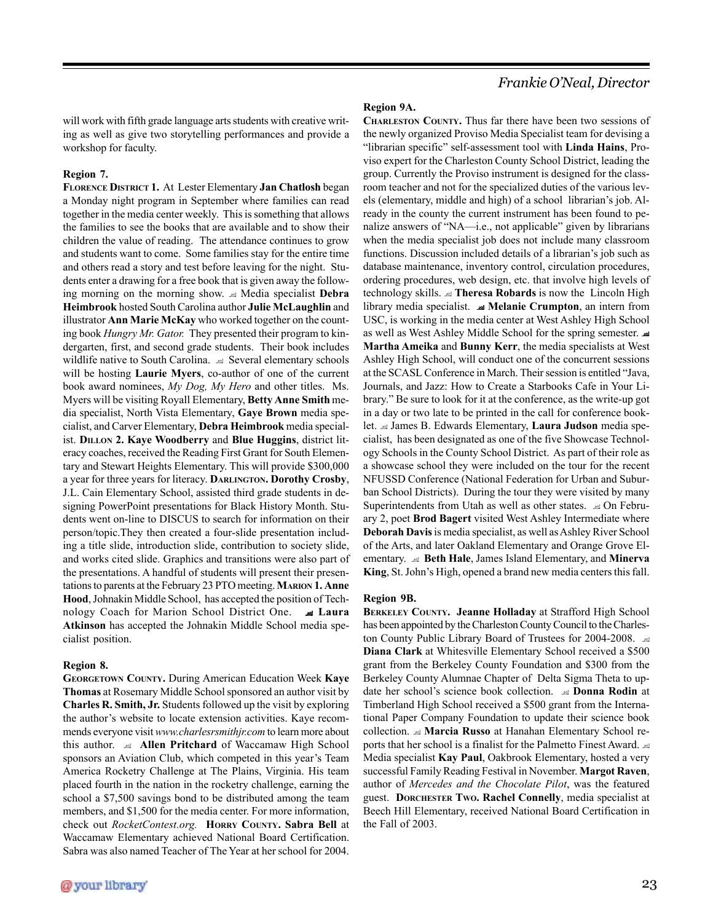*Frankie O'Neal, Director*

will work with fifth grade language arts students with creative writing as well as give two storytelling performances and provide a workshop for faculty.

#### **Region 7.**

**FLORENCE DISTRICT 1.** At Lester Elementary **Jan Chatlosh** began a Monday night program in September where families can read together in the media center weekly. This is something that allows the families to see the books that are available and to show their children the value of reading. The attendance continues to grow and students want to come. Some families stay for the entire time and others read a story and test before leaving for the night. Students enter a drawing for a free book that is given away the following morning on the morning show. Media specialist **Debra Heimbrook** hosted South Carolina author **Julie McLaughlin** and illustrator **Ann Marie McKay** who worked together on the counting book *Hungry Mr. Gator.* They presented their program to kindergarten, first, and second grade students. Their book includes wildlife native to South Carolina.  $\triangleq$  Several elementary schools will be hosting **Laurie Myers**, co-author of one of the current book award nominees, *My Dog, My Hero* and other titles. Ms. Myers will be visiting Royall Elementary, **Betty Anne Smith** media specialist, North Vista Elementary, **Gaye Brown** media specialist, and Carver Elementary, **Debra Heimbrook** media specialist. **DILLON 2. Kaye Woodberry** and **Blue Huggins**, district literacy coaches, received the Reading First Grant for South Elementary and Stewart Heights Elementary. This will provide \$300,000 a year for three years for literacy. **DARLINGTON. Dorothy Crosby**, J.L. Cain Elementary School, assisted third grade students in designing PowerPoint presentations for Black History Month. Students went on-line to DISCUS to search for information on their person/topic.They then created a four-slide presentation including a title slide, introduction slide, contribution to society slide, and works cited slide. Graphics and transitions were also part of the presentations. A handful of students will present their presentations to parents at the February 23 PTO meeting. **MARION 1. Anne Hood**, Johnakin Middle School, has accepted the position of Technology Coach for Marion School District One.  **Laura Atkinson** has accepted the Johnakin Middle School media specialist position.

#### **Region 8.**

**GEORGETOWN COUNTY.** During American Education Week **Kaye Thomas** at Rosemary Middle School sponsored an author visit by **Charles R. Smith, Jr.** Students followed up the visit by exploring the author's website to locate extension activities. Kaye recommends everyone visit *www.charlesrsmithjr.com* to learn more about this author. **Allen Pritchard** of Waccamaw High School sponsors an Aviation Club, which competed in this year's Team America Rocketry Challenge at The Plains, Virginia. His team placed fourth in the nation in the rocketry challenge, earning the school a \$7,500 savings bond to be distributed among the team members, and \$1,500 for the media center. For more information, check out *RocketContest.org.* **HORRY COUNTY. Sabra Bell** at Waccamaw Elementary achieved National Board Certification. Sabra was also named Teacher of The Year at her school for 2004.

#### **Region 9A.**

**CHARLESTON COUNTY.** Thus far there have been two sessions of the newly organized Proviso Media Specialist team for devising a "librarian specific" self-assessment tool with **Linda Hains**, Proviso expert for the Charleston County School District, leading the group. Currently the Proviso instrument is designed for the classroom teacher and not for the specialized duties of the various levels (elementary, middle and high) of a school librarian's job. Already in the county the current instrument has been found to penalize answers of "NA—i.e., not applicable" given by librarians when the media specialist job does not include many classroom functions. Discussion included details of a librarian's job such as database maintenance, inventory control, circulation procedures, ordering procedures, web design, etc. that involve high levels of technology skills. **Theresa Robards** is now the Lincoln High library media specialist.  **Melanie Crumpton**, an intern from USC, is working in the media center at West Ashley High School as well as West Ashley Middle School for the spring semester. **Martha Ameika** and **Bunny Kerr**, the media specialists at West Ashley High School, will conduct one of the concurrent sessions at the SCASL Conference in March. Their session is entitled "Java, Journals, and Jazz: How to Create a Starbooks Cafe in Your Library." Be sure to look for it at the conference, as the write-up got in a day or two late to be printed in the call for conference booklet. James B. Edwards Elementary, **Laura Judson** media specialist, has been designated as one of the five Showcase Technology Schools in the County School District. As part of their role as a showcase school they were included on the tour for the recent NFUSSD Conference (National Federation for Urban and Suburban School Districts). During the tour they were visited by many Superintendents from Utah as well as other states.  $\trianglelefteq$  On February 2, poet **Brod Bagert** visited West Ashley Intermediate where **Deborah Davis** is media specialist, as well as Ashley River School of the Arts, and later Oakland Elementary and Orange Grove Elementary. **Beth Hale**, James Island Elementary, and **Minerva King**, St. John's High, opened a brand new media centers this fall.

#### **Region 9B.**

**BERKELEY COUNTY. Jeanne Holladay** at Strafford High School has been appointed by the Charleston County Council to the Charleston County Public Library Board of Trustees for 2004-2008. **Diana Clark** at Whitesville Elementary School received a \$500 grant from the Berkeley County Foundation and \$300 from the Berkeley County Alumnae Chapter of Delta Sigma Theta to update her school's science book collection. **Donna Rodin** at Timberland High School received a \$500 grant from the International Paper Company Foundation to update their science book collection. **Marcia Russo** at Hanahan Elementary School reports that her school is a finalist for the Palmetto Finest Award. Media specialist **Kay Paul**, Oakbrook Elementary, hosted a very successful Family Reading Festival in November. **Margot Raven**, author of *Mercedes and the Chocolate Pilot*, was the featured guest. **DORCHESTER TWO. Rachel Connelly**, media specialist at Beech Hill Elementary, received National Board Certification in the Fall of 2003.